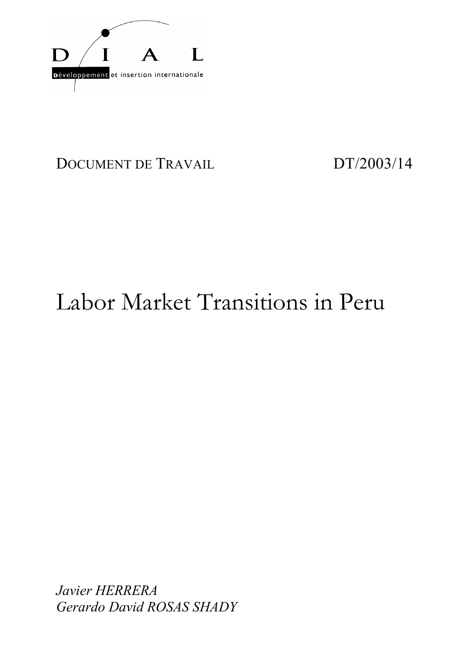

# DOCUMENT DE TRAVAIL DT/2003/14

# Labor Market Transitions in Peru

*Javier HERRERA Gerardo David ROSAS SHADY*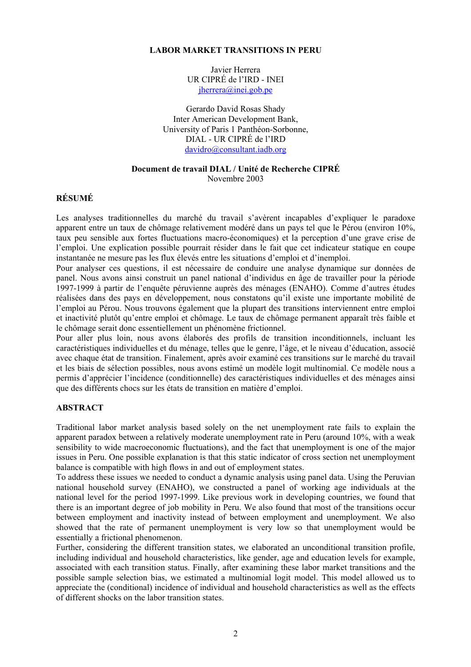#### **LABOR MARKET TRANSITIONS IN PERU**

Javier Herrera UR CIPRÉ de l'IRD - INEI jherrera@inei.gob.pe

Gerardo David Rosas Shady Inter American Development Bank, University of Paris 1 Panthéon-Sorbonne, DIAL - UR CIPRÉ de l'IRD davidro@consultant.iadb.org

#### **Document de travail DIAL / Unité de Recherche CIPRÉ** Novembre 2003

#### **RÉSUMÉ**

Les analyses traditionnelles du marché du travail s'avèrent incapables d'expliquer le paradoxe apparent entre un taux de chômage relativement modéré dans un pays tel que le Pérou (environ 10%, taux peu sensible aux fortes fluctuations macro-économiques) et la perception d'une grave crise de l'emploi. Une explication possible pourrait résider dans le fait que cet indicateur statique en coupe instantanée ne mesure pas les flux élevés entre les situations d'emploi et d'inemploi.

Pour analyser ces questions, il est nécessaire de conduire une analyse dynamique sur données de panel. Nous avons ainsi construit un panel national d'individus en âge de travailler pour la période 1997-1999 à partir de l'enquête péruvienne auprès des ménages (ENAHO). Comme d'autres études réalisées dans des pays en développement, nous constatons qu'il existe une importante mobilité de l'emploi au Pérou. Nous trouvons également que la plupart des transitions interviennent entre emploi et inactivité plutôt qu'entre emploi et chômage. Le taux de chômage permanent apparaît très faible et le chômage serait donc essentiellement un phénomène frictionnel.

Pour aller plus loin, nous avons élaborés des profils de transition inconditionnels, incluant les caractéristiques individuelles et du ménage, telles que le genre, l'âge, et le niveau d'éducation, associé avec chaque état de transition. Finalement, après avoir examiné ces transitions sur le marché du travail et les biais de sélection possibles, nous avons estimé un modèle logit multinomial. Ce modèle nous a permis d'apprécier l'incidence (conditionnelle) des caractéristiques individuelles et des ménages ainsi que des différents chocs sur les états de transition en matière d'emploi.

#### **ABSTRACT**

Traditional labor market analysis based solely on the net unemployment rate fails to explain the apparent paradox between a relatively moderate unemployment rate in Peru (around 10%, with a weak sensibility to wide macroeconomic fluctuations), and the fact that unemployment is one of the major issues in Peru. One possible explanation is that this static indicator of cross section net unemployment balance is compatible with high flows in and out of employment states.

To address these issues we needed to conduct a dynamic analysis using panel data. Using the Peruvian national household survey (ENAHO), we constructed a panel of working age individuals at the national level for the period 1997-1999. Like previous work in developing countries, we found that there is an important degree of job mobility in Peru. We also found that most of the transitions occur between employment and inactivity instead of between employment and unemployment. We also showed that the rate of permanent unemployment is very low so that unemployment would be essentially a frictional phenomenon.

Further, considering the different transition states, we elaborated an unconditional transition profile, including individual and household characteristics, like gender, age and education levels for example, associated with each transition status. Finally, after examining these labor market transitions and the possible sample selection bias, we estimated a multinomial logit model. This model allowed us to appreciate the (conditional) incidence of individual and household characteristics as well as the effects of different shocks on the labor transition states.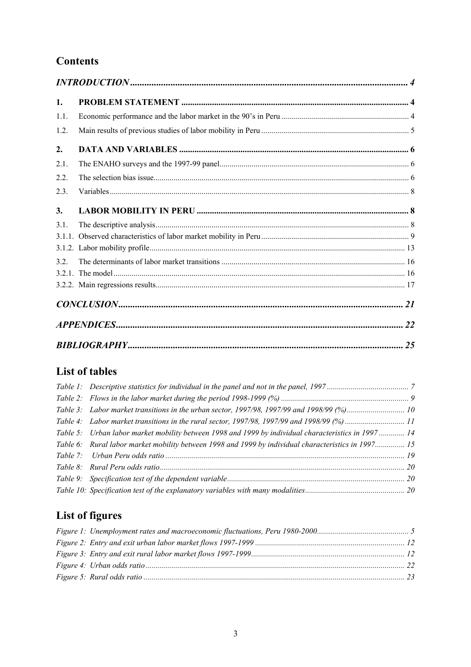# **Contents**

| 1.   |    |
|------|----|
| 1.1. |    |
| 1.2. |    |
| 2.   |    |
| 2.1. |    |
| 2.2. |    |
| 2.3. |    |
| 3.   |    |
| 3.1. |    |
|      |    |
|      |    |
| 3.2. |    |
|      |    |
|      |    |
|      |    |
|      |    |
|      | 25 |

# List of tables

| Table 4: Labor market transitions in the rural sector, 1997/98, 1997/99 and 1998/99 (%) 11          |  |
|-----------------------------------------------------------------------------------------------------|--|
| Table 5: Urban labor market mobility between 1998 and 1999 by individual characteristics in 1997 14 |  |
| Table 6: Rural labor market mobility between 1998 and 1999 by individual characteristics in 1997 15 |  |
|                                                                                                     |  |
|                                                                                                     |  |
|                                                                                                     |  |
|                                                                                                     |  |

# List of figures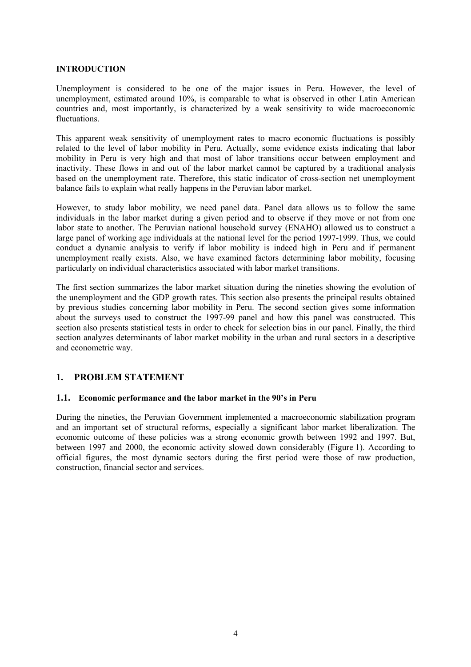#### **INTRODUCTION**

Unemployment is considered to be one of the major issues in Peru. However, the level of unemployment, estimated around 10%, is comparable to what is observed in other Latin American countries and, most importantly, is characterized by a weak sensitivity to wide macroeconomic fluctuations.

This apparent weak sensitivity of unemployment rates to macro economic fluctuations is possibly related to the level of labor mobility in Peru. Actually, some evidence exists indicating that labor mobility in Peru is very high and that most of labor transitions occur between employment and inactivity. These flows in and out of the labor market cannot be captured by a traditional analysis based on the unemployment rate. Therefore, this static indicator of cross-section net unemployment balance fails to explain what really happens in the Peruvian labor market.

However, to study labor mobility, we need panel data. Panel data allows us to follow the same individuals in the labor market during a given period and to observe if they move or not from one labor state to another. The Peruvian national household survey (ENAHO) allowed us to construct a large panel of working age individuals at the national level for the period 1997-1999. Thus, we could conduct a dynamic analysis to verify if labor mobility is indeed high in Peru and if permanent unemployment really exists. Also, we have examined factors determining labor mobility, focusing particularly on individual characteristics associated with labor market transitions.

The first section summarizes the labor market situation during the nineties showing the evolution of the unemployment and the GDP growth rates. This section also presents the principal results obtained by previous studies concerning labor mobility in Peru. The second section gives some information about the surveys used to construct the 1997-99 panel and how this panel was constructed. This section also presents statistical tests in order to check for selection bias in our panel. Finally, the third section analyzes determinants of labor market mobility in the urban and rural sectors in a descriptive and econometric way.

## **1. PROBLEM STATEMENT**

#### **1.1. Economic performance and the labor market in the 90's in Peru**

During the nineties, the Peruvian Government implemented a macroeconomic stabilization program and an important set of structural reforms, especially a significant labor market liberalization. The economic outcome of these policies was a strong economic growth between 1992 and 1997. But, between 1997 and 2000, the economic activity slowed down considerably (Figure 1). According to official figures, the most dynamic sectors during the first period were those of raw production, construction, financial sector and services.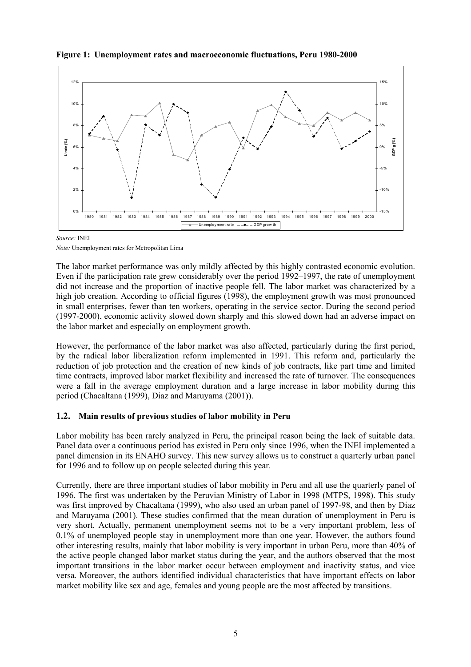

**Figure 1: Unemployment rates and macroeconomic fluctuations, Peru 1980-2000** 

*Source:* INEI

*Note:* Unemployment rates for Metropolitan Lima

The labor market performance was only mildly affected by this highly contrasted economic evolution. Even if the participation rate grew considerably over the period 1992–1997, the rate of unemployment did not increase and the proportion of inactive people fell. The labor market was characterized by a high job creation. According to official figures (1998), the employment growth was most pronounced in small enterprises, fewer than ten workers, operating in the service sector. During the second period (1997-2000), economic activity slowed down sharply and this slowed down had an adverse impact on the labor market and especially on employment growth.

However, the performance of the labor market was also affected, particularly during the first period, by the radical labor liberalization reform implemented in 1991. This reform and, particularly the reduction of job protection and the creation of new kinds of job contracts, like part time and limited time contracts, improved labor market flexibility and increased the rate of turnover. The consequences were a fall in the average employment duration and a large increase in labor mobility during this period (Chacaltana (1999), Diaz and Maruyama (2001)).

## **1.2. Main results of previous studies of labor mobility in Peru**

Labor mobility has been rarely analyzed in Peru, the principal reason being the lack of suitable data. Panel data over a continuous period has existed in Peru only since 1996, when the INEI implemented a panel dimension in its ENAHO survey. This new survey allows us to construct a quarterly urban panel for 1996 and to follow up on people selected during this year.

Currently, there are three important studies of labor mobility in Peru and all use the quarterly panel of 1996. The first was undertaken by the Peruvian Ministry of Labor in 1998 (MTPS, 1998). This study was first improved by Chacaltana (1999), who also used an urban panel of 1997-98, and then by Diaz and Maruyama (2001). These studies confirmed that the mean duration of unemployment in Peru is very short. Actually, permanent unemployment seems not to be a very important problem, less of 0.1% of unemployed people stay in unemployment more than one year. However, the authors found other interesting results, mainly that labor mobility is very important in urban Peru, more than 40% of the active people changed labor market status during the year, and the authors observed that the most important transitions in the labor market occur between employment and inactivity status, and vice versa. Moreover, the authors identified individual characteristics that have important effects on labor market mobility like sex and age, females and young people are the most affected by transitions.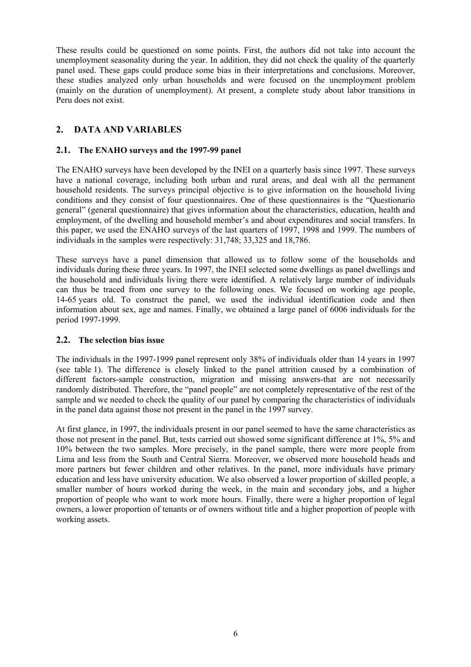These results could be questioned on some points. First, the authors did not take into account the unemployment seasonality during the year. In addition, they did not check the quality of the quarterly panel used. These gaps could produce some bias in their interpretations and conclusions. Moreover, these studies analyzed only urban households and were focused on the unemployment problem (mainly on the duration of unemployment). At present, a complete study about labor transitions in Peru does not exist.

## **2. DATA AND VARIABLES**

#### **2.1. The ENAHO surveys and the 1997-99 panel**

The ENAHO surveys have been developed by the INEI on a quarterly basis since 1997. These surveys have a national coverage, including both urban and rural areas, and deal with all the permanent household residents. The surveys principal objective is to give information on the household living conditions and they consist of four questionnaires. One of these questionnaires is the "Questionario general" (general questionnaire) that gives information about the characteristics, education, health and employment, of the dwelling and household member's and about expenditures and social transfers. In this paper, we used the ENAHO surveys of the last quarters of 1997, 1998 and 1999. The numbers of individuals in the samples were respectively: 31,748; 33,325 and 18,786.

These surveys have a panel dimension that allowed us to follow some of the households and individuals during these three years. In 1997, the INEI selected some dwellings as panel dwellings and the household and individuals living there were identified. A relatively large number of individuals can thus be traced from one survey to the following ones. We focused on working age people, 14-65 years old. To construct the panel, we used the individual identification code and then information about sex, age and names. Finally, we obtained a large panel of 6006 individuals for the period 1997-1999.

#### **2.2. The selection bias issue**

The individuals in the 1997-1999 panel represent only 38% of individuals older than 14 years in 1997 (see table 1). The difference is closely linked to the panel attrition caused by a combination of different factors-sample construction, migration and missing answers-that are not necessarily randomly distributed. Therefore, the "panel people" are not completely representative of the rest of the sample and we needed to check the quality of our panel by comparing the characteristics of individuals in the panel data against those not present in the panel in the 1997 survey.

At first glance, in 1997, the individuals present in our panel seemed to have the same characteristics as those not present in the panel. But, tests carried out showed some significant difference at 1%, 5% and 10% between the two samples. More precisely, in the panel sample, there were more people from Lima and less from the South and Central Sierra. Moreover, we observed more household heads and more partners but fewer children and other relatives. In the panel, more individuals have primary education and less have university education. We also observed a lower proportion of skilled people, a smaller number of hours worked during the week, in the main and secondary jobs, and a higher proportion of people who want to work more hours. Finally, there were a higher proportion of legal owners, a lower proportion of tenants or of owners without title and a higher proportion of people with working assets.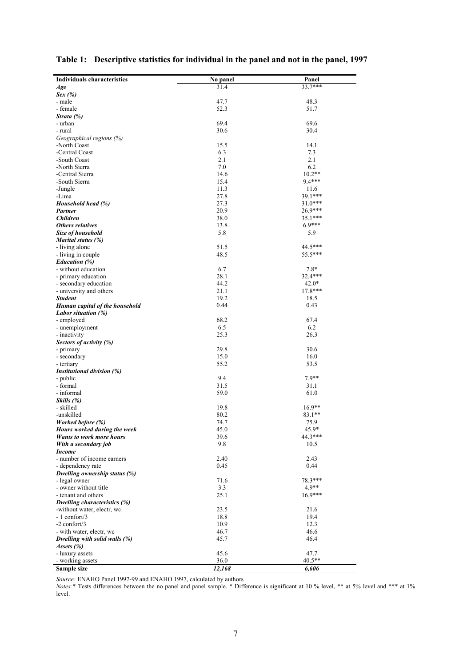| <b>Individuals characteristics</b>                              | No panel     | Panel         |
|-----------------------------------------------------------------|--------------|---------------|
| Age                                                             | 31.4         | $33.7***$     |
| Sex(%)                                                          |              |               |
| - male                                                          | 47.7         | 48.3          |
| - female                                                        | 52.3         | 51.7          |
| Strata (%)                                                      |              |               |
| - urban                                                         | 69.4         | 69.6          |
| - rural                                                         | 30.6         | 30.4          |
| Geographical regions (%)                                        |              |               |
| -North Coast                                                    | 15.5         | 14.1          |
| -Central Coast                                                  | 6.3          | 7.3           |
| -South Coast                                                    | 2.1          | 2.1           |
| -North Sierra                                                   | 7.0          | 6.2           |
| -Central Sierra                                                 | 14.6         | $10.2**$      |
| -South Sierra                                                   | 15.4         | 9.4***        |
| -Jungle                                                         | 11.3         | 11.6          |
| -Lima                                                           | 27.8         | 39.1***       |
| Household head (%)                                              | 27.3         | $31.0***$     |
| <b>Partner</b>                                                  | 20.9         | 26.9***       |
| <b>Children</b>                                                 | 38.0         | $35.1***$     |
| Others relatives                                                | 13.8         | $6.9***$      |
| Size of household                                               | 5.8          | 5.9           |
| Marital status (%)<br>- living alone                            | 51.5         | 44.5***       |
| - living in couple                                              | 48.5         | 55.5***       |
| <b>Education</b> (%)                                            |              |               |
| - without education                                             | 6.7          | $7.8*$        |
| - primary education                                             | 28.1         | 32.4***       |
| - secondary education                                           | 44.2         | $42.0*$       |
| - university and others                                         | 21.1         | $17.8***$     |
| <b>Student</b>                                                  | 19.2         | 18.5          |
| Human capital of the household                                  | 0.44         | 0.43          |
| Labor situation (%)                                             |              |               |
| - employed                                                      | 68.2         | 67.4          |
| - unemployment                                                  | 6.5          | 6.2           |
| - inactivity                                                    | 25.3         | 26.3          |
| Sectors of activity (%)                                         |              |               |
| - primary                                                       | 29.8         | 30.6          |
| - secondary                                                     | 15.0         | 16.0          |
| - tertiary                                                      | 55.2         | 53.5          |
| Institutional division (%)                                      |              |               |
| - public                                                        | 9.4          | 7.9**         |
| - formal                                                        | 31.5         | 31.1          |
| - informal                                                      | 59.0         | 61.0          |
| Skills (%)                                                      |              |               |
| - skilled                                                       | 19.8         | $16.9**$      |
| -unskilled                                                      | 80.2         | 83.1**        |
| Worked before (%)                                               | 74.7<br>45.0 | 75.9<br>45.9* |
| Hours worked during the week<br><b>Wants to work more hours</b> | 39.6         | 44.3***       |
| With a secondary job                                            | 9.8          | 10.5          |
| <b>Income</b>                                                   |              |               |
| - number of income earners                                      | 2.40         | 2.43          |
| - dependency rate                                               | 0.45         | 0.44          |
| Dwelling ownership status (%)                                   |              |               |
| - legal owner                                                   | 71.6         | 78.3***       |
| - owner without title                                           | 3.3          | $4.9**$       |
| - tenant and others                                             | 25.1         | $16.9***$     |
| Dwelling characteristics (%)                                    |              |               |
| -without water, electr, wc                                      | 23.5         | 21.6          |
| $-1$ confort/3                                                  | 18.8         | 19.4          |
| $-2$ confort/3                                                  | 10.9         | 12.3          |
| - with water, electr, wc                                        | 46.7         | 46.6          |
| Dwelling with solid walls (%)                                   | 45.7         | 46.4          |
| Assets $(\%)$                                                   |              |               |
| - luxury assets                                                 | 45.6         | 47.7          |
| - working assets                                                | 36.0         | 40.5**        |
| Sample size                                                     | 12,168       | 6,606         |

# **Table 1: Descriptive statistics for individual in the panel and not in the panel, 1997**

*Source:* ENAHO Panel 1997-99 and ENAHO 1997, calculated by authors

*Notes:*\* Tests differences between the no panel and panel sample. \* Difference is significant at 10 % level, \*\* at 5% level and \*\*\* at 1% level.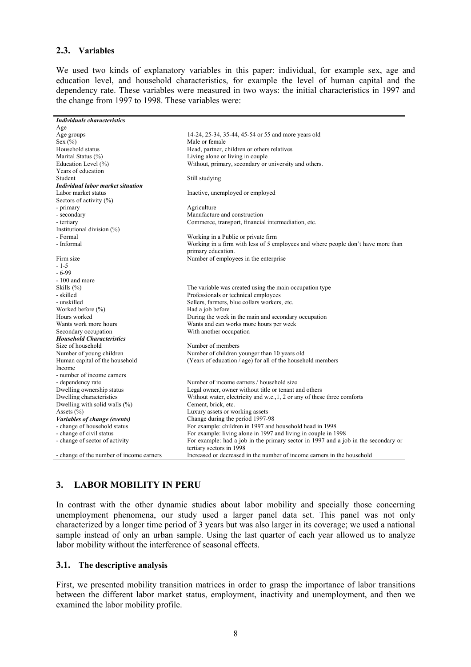#### **2.3. Variables**

We used two kinds of explanatory variables in this paper: individual, for example sex, age and education level, and household characteristics, for example the level of human capital and the dependency rate. These variables were measured in two ways: the initial characteristics in 1997 and the change from 1997 to 1998. These variables were:

| <b>Individuals characteristics</b>       |                                                                                    |
|------------------------------------------|------------------------------------------------------------------------------------|
| Age                                      |                                                                                    |
| Age groups                               | 14-24, 25-34, 35-44, 45-54 or 55 and more years old                                |
| Sex $(\% )$                              | Male or female                                                                     |
| Household status                         | Head, partner, children or others relatives                                        |
| Marital Status (%)                       | Living alone or living in couple                                                   |
| Education Level (%)                      | Without, primary, secondary or university and others.                              |
| Years of education                       |                                                                                    |
| Student                                  | Still studying                                                                     |
| <b>Individual labor market situation</b> |                                                                                    |
| Labor market status                      | Inactive, unemployed or employed                                                   |
| Sectors of activity $(\% )$              |                                                                                    |
| - primary                                | Agriculture                                                                        |
| - secondary                              | Manufacture and construction                                                       |
| - tertiary                               | Commerce, transport, financial intermediation, etc.                                |
| Institutional division (%)               |                                                                                    |
| - Formal                                 | Working in a Public or private firm                                                |
| - Informal                               | Working in a firm with less of 5 employees and where people don't have more than   |
|                                          | primary education.                                                                 |
| Firm size                                | Number of employees in the enterprise                                              |
| $-1-5$                                   |                                                                                    |
| $-6-99$                                  |                                                                                    |
| - 100 and more                           |                                                                                    |
| Skills $(\% )$                           | The variable was created using the main occupation type                            |
| - skilled                                | Professionals or technical employees                                               |
| - unskilled                              | Sellers, farmers, blue collars workers, etc.                                       |
| Worked before $(\% )$                    | Had a job before                                                                   |
| Hours worked                             | During the week in the main and secondary occupation                               |
| Wants work more hours                    | Wants and can works more hours per week                                            |
| Secondary occupation                     | With another occupation                                                            |
| <b>Household Characteristics</b>         |                                                                                    |
| Size of household                        | Number of members                                                                  |
| Number of young children                 | Number of children younger than 10 years old                                       |
| Human capital of the household           | (Years of education / age) for all of the household members                        |
| Income                                   |                                                                                    |
| - number of income earners               |                                                                                    |
| - dependency rate                        | Number of income earners / household size                                          |
| Dwelling ownership status                | Legal owner, owner without title or tenant and others                              |
| Dwelling characteristics                 | Without water, electricity and w.c., 1, 2 or any of these three comforts           |
| Dwelling with solid walls $(\%)$         | Cement, brick, etc.                                                                |
| Assets $(\% )$                           | Luxury assets or working assets                                                    |
| Variables of change (events)             | Change during the period 1997-98                                                   |
| - change of household status             | For example: children in 1997 and household head in 1998                           |
| - change of civil status                 | For example: living alone in 1997 and living in couple in 1998                     |
| - change of sector of activity           | For example: had a job in the primary sector in 1997 and a job in the secondary or |
|                                          | tertiary sectors in 1998                                                           |
| - change of the number of income earners | Increased or decreased in the number of income earners in the household            |

## **3. LABOR MOBILITY IN PERU**

In contrast with the other dynamic studies about labor mobility and specially those concerning unemployment phenomena, our study used a larger panel data set. This panel was not only characterized by a longer time period of 3 years but was also larger in its coverage; we used a national sample instead of only an urban sample. Using the last quarter of each year allowed us to analyze labor mobility without the interference of seasonal effects.

#### **3.1. The descriptive analysis**

First, we presented mobility transition matrices in order to grasp the importance of labor transitions between the different labor market status, employment, inactivity and unemployment, and then we examined the labor mobility profile.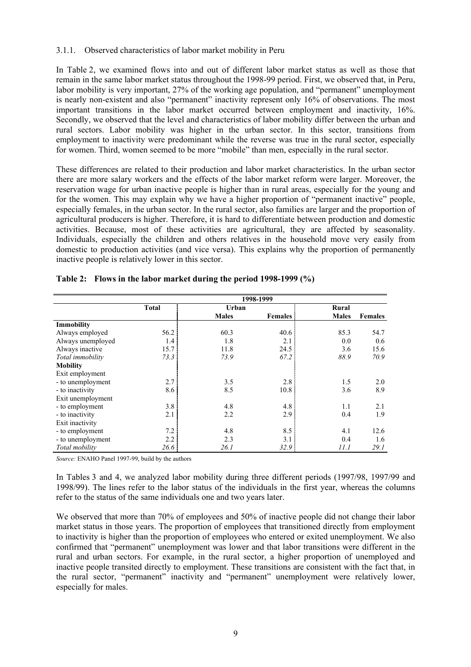#### 3.1.1. Observed characteristics of labor market mobility in Peru

In Table 2, we examined flows into and out of different labor market status as well as those that remain in the same labor market status throughout the 1998-99 period. First, we observed that, in Peru, labor mobility is very important, 27% of the working age population, and "permanent" unemployment is nearly non-existent and also "permanent" inactivity represent only 16% of observations. The most important transitions in the labor market occurred between employment and inactivity, 16%. Secondly, we observed that the level and characteristics of labor mobility differ between the urban and rural sectors. Labor mobility was higher in the urban sector. In this sector, transitions from employment to inactivity were predominant while the reverse was true in the rural sector, especially for women. Third, women seemed to be more "mobile" than men, especially in the rural sector.

These differences are related to their production and labor market characteristics. In the urban sector there are more salary workers and the effects of the labor market reform were larger. Moreover, the reservation wage for urban inactive people is higher than in rural areas, especially for the young and for the women. This may explain why we have a higher proportion of "permanent inactive" people, especially females, in the urban sector. In the rural sector, also families are larger and the proportion of agricultural producers is higher. Therefore, it is hard to differentiate between production and domestic activities. Because, most of these activities are agricultural, they are affected by seasonality. Individuals, especially the children and others relatives in the household move very easily from domestic to production activities (and vice versa). This explains why the proportion of permanently inactive people is relatively lower in this sector.

|                   |              |              | 1998-1999      |              |                |
|-------------------|--------------|--------------|----------------|--------------|----------------|
|                   | <b>Total</b> | Urban        |                | Rural        |                |
|                   |              | <b>Males</b> | <b>Females</b> | <b>Males</b> | <b>Females</b> |
| Immobility        |              |              |                |              |                |
| Always employed   | 56.2         | 60.3         | 40.6           | 85.3         | 54.7           |
| Always unemployed | 1.4          | 1.8          | 2.1            | 0.0          | 0.6            |
| Always inactive   | 15.7         | 11.8         | 24.5           | 3.6          | 15.6           |
| Total immobility  | 73.3         | 73.9         | 67.2           | 88.9         | 70.9           |
| <b>Mobility</b>   |              |              |                |              |                |
| Exit employment   |              |              |                |              |                |
| - to unemployment | 2.7          | 3.5          | 2.8            | 1.5          | 2.0            |
| - to inactivity   | 8.6          | 8.5          | 10.8           | 3.6          | 8.9            |
| Exit unemployment |              |              |                |              |                |
| - to employment   | 3.8          | 4.8          | 4.8            | 1.1          | 2.1            |
| - to inactivity   | 2.1          | 2.2          | 2.9            | 0.4          | 1.9            |
| Exit inactivity   |              |              |                |              |                |
| - to employment   | 7.2          | 4.8          | 8.5            | 4.1          | 12.6           |
| - to unemployment | 2.2          | 2.3          | 3.1            | 0.4          | 1.6            |
| Total mobility    | 26.6         | 26.1         | 32.9           | 11.1         | 29.1           |

#### **Table 2: Flows in the labor market during the period 1998-1999 (%)**

*Source:* ENAHO Panel 1997-99, build by the authors

In Tables 3 and 4, we analyzed labor mobility during three different periods (1997/98, 1997/99 and 1998/99). The lines refer to the labor status of the individuals in the first year, whereas the columns refer to the status of the same individuals one and two years later.

We observed that more than 70% of employees and 50% of inactive people did not change their labor market status in those years. The proportion of employees that transitioned directly from employment to inactivity is higher than the proportion of employees who entered or exited unemployment. We also confirmed that "permanent" unemployment was lower and that labor transitions were different in the rural and urban sectors. For example, in the rural sector, a higher proportion of unemployed and inactive people transited directly to employment. These transitions are consistent with the fact that, in the rural sector, "permanent" inactivity and "permanent" unemployment were relatively lower, especially for males.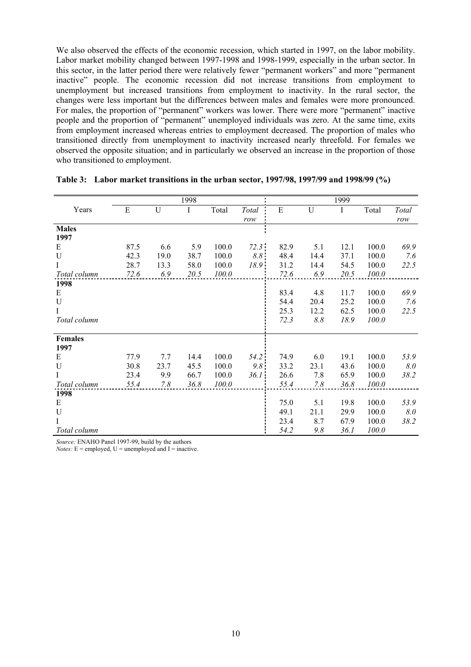We also observed the effects of the economic recession, which started in 1997, on the labor mobility. Labor market mobility changed between 1997-1998 and 1998-1999, especially in the urban sector. In this sector, in the latter period there were relatively fewer "permanent workers" and more "permanent inactive" people. The economic recession did not increase transitions from employment to unemployment but increased transitions from employment to inactivity. In the rural sector, the changes were less important but the differences between males and females were more pronounced. For males, the proportion of "permanent" workers was lower. There were more "permanent" inactive people and the proportion of "permanent" unemployed individuals was zero. At the same time, exits from employment increased whereas entries to employment decreased. The proportion of males who transitioned directly from unemployment to inactivity increased nearly threefold. For females we observed the opposite situation; and in particularly we observed an increase in the proportion of those who transitioned to employment.

|                |      |      | 1998 |       |              |      |         | 1999 |       |       |
|----------------|------|------|------|-------|--------------|------|---------|------|-------|-------|
| Years          | E    | U    | Ι    | Total | <b>Total</b> | E    | U       | Ι    | Total | Total |
|                |      |      |      |       | row          |      |         |      |       | row   |
| <b>Males</b>   |      |      |      |       |              |      |         |      |       |       |
| 1997           |      |      |      |       |              |      |         |      |       |       |
| E              | 87.5 | 6.6  | 5.9  | 100.0 | 72.3         | 82.9 | 5.1     | 12.1 | 100.0 | 69.9  |
| U              | 42.3 | 19.0 | 38.7 | 100.0 | 8.8:         | 48.4 | 14.4    | 37.1 | 100.0 | 7.6   |
| $\bf{I}$       | 28.7 | 13.3 | 58.0 | 100.0 | 18.9         | 31.2 | 14.4    | 54.5 | 100.0 | 22.5  |
| Total column   | 72.6 | 6.9  | 20.5 | 100.0 |              | 72.6 | 6.9     | 20.5 | 100.0 |       |
| 1998           |      |      |      |       |              |      |         |      |       |       |
| E              |      |      |      |       |              | 83.4 | 4.8     | 11.7 | 100.0 | 69.9  |
| U              |      |      |      |       |              | 54.4 | 20.4    | 25.2 | 100.0 | 7.6   |
| $\bf{I}$       |      |      |      |       |              | 25.3 | 12.2    | 62.5 | 100.0 | 22.5  |
| Total column   |      |      |      |       |              | 72.3 | $8.8\,$ | 18.9 | 100.0 |       |
|                |      |      |      |       |              |      |         |      |       |       |
| <b>Females</b> |      |      |      |       |              |      |         |      |       |       |
| 1997           |      |      |      |       |              |      |         |      |       |       |
| E              | 77.9 | 7.7  | 14.4 | 100.0 | 54.2         | 74.9 | 6.0     | 19.1 | 100.0 | 53.9  |
| U              | 30.8 | 23.7 | 45.5 | 100.0 | 9.8          | 33.2 | 23.1    | 43.6 | 100.0 | 8.0   |
| $\bf{I}$       | 23.4 | 9.9  | 66.7 | 100.0 | 36.1         | 26.6 | 7.8     | 65.9 | 100.0 | 38.2  |
| Total column   | 55.4 | 7.8  | 36.8 | 100.0 |              | 55.4 | 7.8     | 36.8 | 100.0 |       |
| 1998           |      |      |      |       |              |      |         |      |       |       |
| E              |      |      |      |       |              | 75.0 | 5.1     | 19.8 | 100.0 | 53.9  |
| U              |      |      |      |       |              | 49.1 | 21.1    | 29.9 | 100.0 | 8.0   |
| I              |      |      |      |       |              | 23.4 | 8.7     | 67.9 | 100.0 | 38.2  |
| Total column   |      |      |      |       |              | 54.2 | 9.8     | 36.1 | 100.0 |       |

|  | Table 3: Labor market transitions in the urban sector, 1997/98, 1997/99 and 1998/99 (%) |  |  |
|--|-----------------------------------------------------------------------------------------|--|--|
|--|-----------------------------------------------------------------------------------------|--|--|

*Source:* ENAHO Panel 1997-99, build by the authors

*Notes:*  $E =$  employed,  $U =$  unemployed and  $I =$  inactive.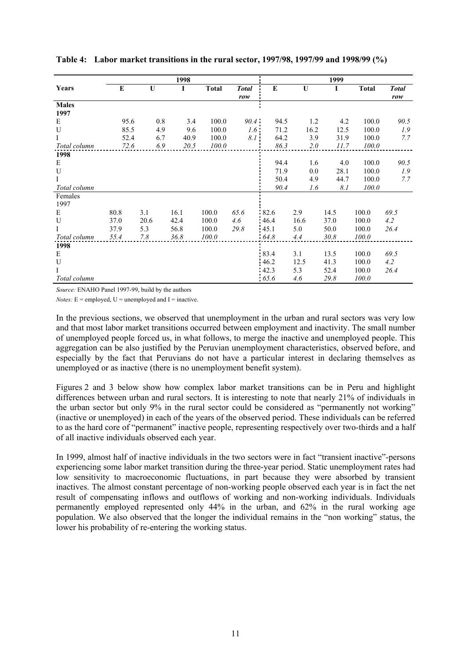| 1998         |      |             |      |              | 1999         |      |             |      |              |              |
|--------------|------|-------------|------|--------------|--------------|------|-------------|------|--------------|--------------|
| Years        | E    | $\mathbf U$ | I    | <b>Total</b> | <b>Total</b> | E    | $\mathbf U$ | I    | <b>Total</b> | <b>Total</b> |
|              |      |             |      |              | row          |      |             |      |              | row          |
| <b>Males</b> |      |             |      |              |              |      |             |      |              |              |
| 1997         |      |             |      |              |              |      |             |      |              |              |
| E            | 95.6 | 0.8         | 3.4  | 100.0        | 90.4         | 94.5 | 1.2         | 4.2  | 100.0        | 90.5         |
| U            | 85.5 | 4.9         | 9.6  | 100.0        | 1.6:         | 71.2 | 16.2        | 12.5 | 100.0        | 1.9          |
| I            | 52.4 | 6.7         | 40.9 | 100.0        | 8.1          | 64.2 | 3.9         | 31.9 | 100.0        | 7.7          |
| Total column | 72.6 | 6.9         | 20.5 | 100.0        |              | 86.3 | 2.0         | 11.7 | 100.0        |              |
| 1998         |      |             |      |              |              |      |             |      |              |              |
| E            |      |             |      |              |              | 94.4 | 1.6         | 4.0  | 100.0        | 90.5         |
| U            |      |             |      |              |              | 71.9 | 0.0         | 28.1 | 100.0        | 1.9          |
| Ι            |      |             |      |              |              | 50.4 | 4.9         | 44.7 | 100.0        | 7.7          |
| Total column |      |             |      |              |              | 90.4 | 1.6         | 8.1  | 100.0        |              |
| Females      |      |             |      |              |              |      |             |      |              |              |
| 1997         |      |             |      |              |              |      |             |      |              |              |
| Е            | 80.8 | 3.1         | 16.1 | 100.0        | 65.6         | 82.6 | 2.9         | 14.5 | 100.0        | 69.5         |
| U            | 37.0 | 20.6        | 42.4 | 100.0        | 4.6          | 46.4 | 16.6        | 37.0 | 100.0        | 4.2          |
| Ι            | 37.9 | 5.3         | 56.8 | 100.0        | 29.8         | 45.1 | 5.0         | 50.0 | 100.0        | 26.4         |
| Total column | 55.4 | 7.8         | 36.8 | 100.0        |              | 64.8 | 4.4         | 30.8 | 100.0        |              |
| 1998         |      |             |      |              |              |      |             |      |              |              |
| E            |      |             |      |              |              | 83.4 | 3.1         | 13.5 | 100.0        | 69.5         |
| U            |      |             |      |              |              | 46.2 | 12.5        | 41.3 | 100.0        | 4.2          |
| Ι            |      |             |      |              |              | 42.3 | 5.3         | 52.4 | 100.0        | 26.4         |
| Total column |      |             |      |              |              | 65.6 | 4.6         | 29.8 | 100.0        |              |

**Table 4: Labor market transitions in the rural sector, 1997/98, 1997/99 and 1998/99 (%)** 

*Source:* ENAHO Panel 1997-99, build by the authors

*Notes:*  $E =$  employed,  $U =$  unemployed and  $I =$  inactive.

In the previous sections, we observed that unemployment in the urban and rural sectors was very low and that most labor market transitions occurred between employment and inactivity. The small number of unemployed people forced us, in what follows, to merge the inactive and unemployed people. This aggregation can be also justified by the Peruvian unemployment characteristics, observed before, and especially by the fact that Peruvians do not have a particular interest in declaring themselves as unemployed or as inactive (there is no unemployment benefit system).

Figures 2 and 3 below show how complex labor market transitions can be in Peru and highlight differences between urban and rural sectors. It is interesting to note that nearly 21% of individuals in the urban sector but only 9% in the rural sector could be considered as "permanently not working" (inactive or unemployed) in each of the years of the observed period. These individuals can be referred to as the hard core of "permanent" inactive people, representing respectively over two-thirds and a half of all inactive individuals observed each year.

In 1999, almost half of inactive individuals in the two sectors were in fact "transient inactive"-persons experiencing some labor market transition during the three-year period. Static unemployment rates had low sensitivity to macroeconomic fluctuations, in part because they were absorbed by transient inactives. The almost constant percentage of non-working people observed each year is in fact the net result of compensating inflows and outflows of working and non-working individuals. Individuals permanently employed represented only 44% in the urban, and 62% in the rural working age population. We also observed that the longer the individual remains in the "non working" status, the lower his probability of re-entering the working status.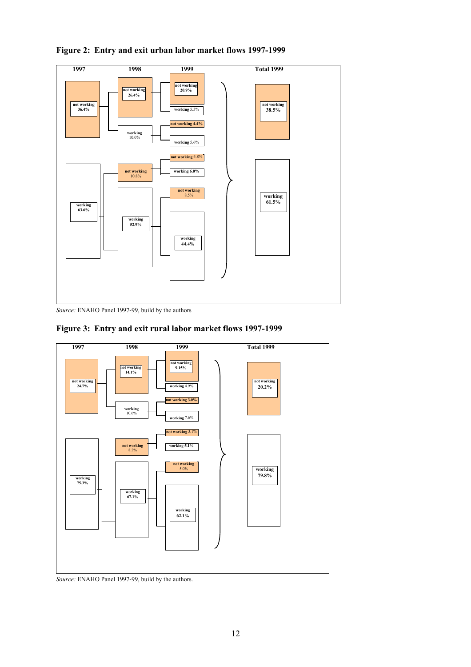

**Figure 2: Entry and exit urban labor market flows 1997-1999** 

*Source:* ENAHO Panel 1997-99, build by the authors





*Source:* ENAHO Panel 1997-99, build by the authors.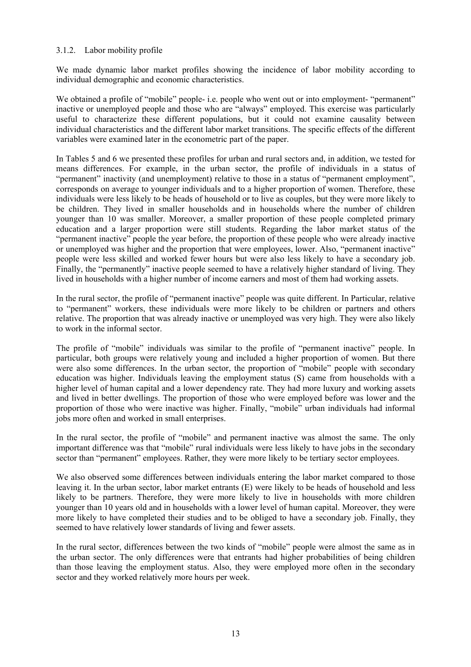#### 3.1.2. Labor mobility profile

We made dynamic labor market profiles showing the incidence of labor mobility according to individual demographic and economic characteristics.

We obtained a profile of "mobile" people- i.e. people who went out or into employment- "permanent" inactive or unemployed people and those who are "always" employed. This exercise was particularly useful to characterize these different populations, but it could not examine causality between individual characteristics and the different labor market transitions. The specific effects of the different variables were examined later in the econometric part of the paper.

In Tables 5 and 6 we presented these profiles for urban and rural sectors and, in addition, we tested for means differences. For example, in the urban sector, the profile of individuals in a status of "permanent" inactivity (and unemployment) relative to those in a status of "permanent employment", corresponds on average to younger individuals and to a higher proportion of women. Therefore, these individuals were less likely to be heads of household or to live as couples, but they were more likely to be children. They lived in smaller households and in households where the number of children younger than 10 was smaller. Moreover, a smaller proportion of these people completed primary education and a larger proportion were still students. Regarding the labor market status of the "permanent inactive" people the year before, the proportion of these people who were already inactive or unemployed was higher and the proportion that were employees, lower. Also, "permanent inactive" people were less skilled and worked fewer hours but were also less likely to have a secondary job. Finally, the "permanently" inactive people seemed to have a relatively higher standard of living. They lived in households with a higher number of income earners and most of them had working assets.

In the rural sector, the profile of "permanent inactive" people was quite different. In Particular, relative to "permanent" workers, these individuals were more likely to be children or partners and others relative. The proportion that was already inactive or unemployed was very high. They were also likely to work in the informal sector.

The profile of "mobile" individuals was similar to the profile of "permanent inactive" people. In particular, both groups were relatively young and included a higher proportion of women. But there were also some differences. In the urban sector, the proportion of "mobile" people with secondary education was higher. Individuals leaving the employment status (S) came from households with a higher level of human capital and a lower dependency rate. They had more luxury and working assets and lived in better dwellings. The proportion of those who were employed before was lower and the proportion of those who were inactive was higher. Finally, "mobile" urban individuals had informal jobs more often and worked in small enterprises.

In the rural sector, the profile of "mobile" and permanent inactive was almost the same. The only important difference was that "mobile" rural individuals were less likely to have jobs in the secondary sector than "permanent" employees. Rather, they were more likely to be tertiary sector employees.

We also observed some differences between individuals entering the labor market compared to those leaving it. In the urban sector, labor market entrants (E) were likely to be heads of household and less likely to be partners. Therefore, they were more likely to live in households with more children younger than 10 years old and in households with a lower level of human capital. Moreover, they were more likely to have completed their studies and to be obliged to have a secondary job. Finally, they seemed to have relatively lower standards of living and fewer assets.

In the rural sector, differences between the two kinds of "mobile" people were almost the same as in the urban sector. The only differences were that entrants had higher probabilities of being children than those leaving the employment status. Also, they were employed more often in the secondary sector and they worked relatively more hours per week.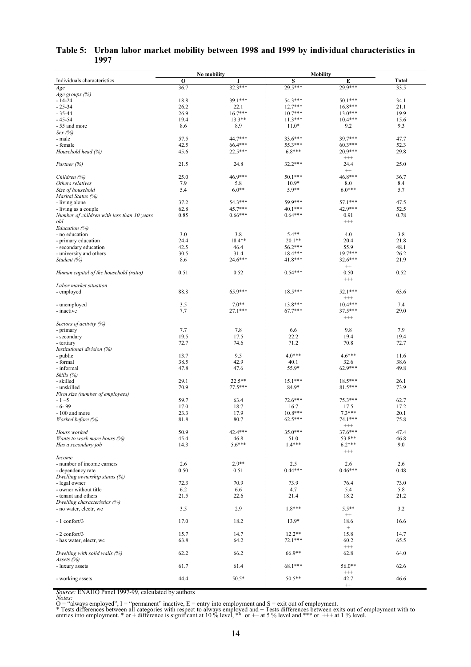| Table 5: Urban labor market mobility between 1998 and 1999 by individual characteristics in |  |  |
|---------------------------------------------------------------------------------------------|--|--|
| 1997                                                                                        |  |  |

|                                                 |            | No mobility    | <b>Mobility</b>  |                   |            |
|-------------------------------------------------|------------|----------------|------------------|-------------------|------------|
| Individuals characteristics                     | $\bf{O}$   |                | S                | E                 | Total      |
| Age                                             | 36.7       | $32.3***$      | 29.5***          | 29.9***           | 33.5       |
| Age groups (%)                                  |            |                |                  |                   |            |
| $-14-24$                                        | 18.8       | 39.1***        | 54.3***          | 50.1***           | 34.1       |
| $-25-34$                                        | 26.2       | 22.1           | $12.7***$        | $16.8***$         | 21.1       |
| $-35-44$                                        | 26.9       | $16.7***$      | $10.7***$        | $13.0***$         | 19.9       |
| $-45-54$                                        | 19.4       | $13.3**$       | $11.3***$        | $10.4***$         | 15.6       |
| - 55 and more                                   | 8.6        | 8.9            | $11.0*$          | 9.2               | 9.3        |
| $Sex$ (%)                                       |            |                |                  |                   |            |
| - male                                          | 57.5       | 44.7***        | 33.6***          | 39.7***           | 47.7       |
| - female                                        | 42.5       | 66.4***        | 55.3***          | $60.3***$         | 52.3       |
| Household head (%)                              | 45.6       | 22.5***        | $6.8***$         | 20.9***           | 29.8       |
|                                                 |            |                |                  | $^{+++}$          |            |
| Partner (%)                                     | 21.5       | 24.8           | $32.2***$        | 24.4              | 25.0       |
|                                                 |            |                |                  | $^{++}$           |            |
| Children (%)                                    | 25.0       | 46.9***        | $50.1***$        | 46.8***           | 36.7       |
| Others relatives                                | 7.9<br>5.4 | 5.8<br>$6.0**$ | $10.9*$<br>5.9** | 8.0<br>$6.0***$   | 8.4<br>5.7 |
| Size of household                               |            |                |                  |                   |            |
| Marital Status (%)                              | 37.2       | 54.3***        | 59.9***          | 57.1***           | 47.5       |
| - living alone                                  | 62.8       | 45.7***        | 40.1***          | 42.9***           | 52.5       |
| - living as a couple                            |            |                |                  |                   |            |
| Number of children with less than 10 years      | 0.85       | $0.66***$      | $0.64***$        | 0.91<br>$^{+++}$  | 0.78       |
| old                                             |            |                |                  |                   |            |
| Education (%)                                   | 3.0        | 3.8            | $5.4**$          | 4.0               | 3.8        |
| - no education                                  | 24.4       | 18.4**         | $20.1**$         | 20.4              | 21.8       |
| - primary education<br>- secondary education    | 42.5       | 46.4           | 56.2***          | 55.9              | 48.1       |
| - university and others                         | 30.5       | 31.4           | 18.4***          | $19.7***$         | 26.2       |
|                                                 | 8.6        | 24.6***        | 41.8***          | 32.6***           | 21.9       |
| Student (%)                                     |            |                |                  | $++$              |            |
|                                                 | 0.51       | 0.52           | $0.54***$        | 0.50              | 0.52       |
| Human capital of the household (ratio)          |            |                |                  | $^{+++}$          |            |
|                                                 |            |                |                  |                   |            |
| Labor market situation                          | 88.8       | $65.9***$      | 18.5***          | 52.1***           | 63.6       |
| - employed                                      |            |                |                  | $^{+++}$          |            |
|                                                 | 3.5        | $7.0**$        | 13.8***          | $10.4***$         | 7.4        |
| - unemployed                                    | 7.7        | $27.1***$      | 67.7***          | 37.5***           | 29.0       |
| - inactive                                      |            |                |                  | $^{+++}$          |            |
|                                                 |            |                |                  |                   |            |
| Sectors of activity (%)<br>- primary            | 7.7        | 7.8            | 6.6              | 9.8               | 7.9        |
|                                                 | 19.5       | 17.5           | 22.2             | 19.4              | 19.4       |
| - secondary                                     | 72.7       | 74.6           | 71.2             | 70.8              | 72.7       |
| - tertiary<br><i>Institutional division (%)</i> |            |                |                  |                   |            |
| - public                                        | 13.7       | 9.5            | $4.0***$         | $4.6***$          | 11.6       |
| - formal                                        | 38.5       | 42.9           | 40.1             | 32.6              | 38.6       |
| - informal                                      | 47.8       | 47.6           | 55.9*            | 62.9***           | 49.8       |
| Skills (%)                                      |            |                |                  |                   |            |
| - skilled                                       | 29.1       | $22.5***$      | $15.1***$        | $18.5***$         | 26.1       |
| - unskilled                                     | 70.9       | $77.5***$      | 84.9*            | 81.5***           | 73.9       |
| Firm size (number of employees)                 |            |                |                  |                   |            |
| $-1 - 5$                                        | 59.7       | 63.4           | 72.6***          | 75.3***           | 62.7       |
| $-6-99$                                         | 17.0       | 18.7           | 16.7             | 17.5              | 17.2       |
| - 100 and more                                  | 23.3       | 17.9           | 10.8***          | $7.3***$          | 20.1       |
| Worked before (%)                               | 81.8       | 80.7           | 62.5***          | 74.1***           | 75.8       |
|                                                 |            |                |                  | $^{+++}$          |            |
| Hours worked                                    | 50.9       | 42.4***        | 35.0***          | 37.6***           | 47.4       |
| Wants to work more hours $(\%)$                 | 45.4       | 46.8           | 51.0             | 53.8**            | 46.8       |
| Has a secondary job                             | 14.3       | $5.6***$       | $1.4***$         | $6.2***$          | 9.0        |
|                                                 |            |                |                  | $^{+++}$          |            |
| Income                                          |            |                |                  |                   |            |
| - number of income earners                      | 2.6        | $2.9**$        | 2.5              | 2.6               | 2.6        |
| - dependency rate                               | 0.50       | 0.51           | $0.44***$        | $0.46***$         | 0.48       |
| Dwelling ownership status (%)                   |            |                |                  |                   |            |
| - legal owner                                   | 72.3       | 70.9           | 73.9             | 76.4              | 73.0       |
| - owner without title                           | 6.2        | 6.6            | 4.7              | 5.4               | 5.8        |
| - tenant and others                             | 21.5       | 22.6           | 21.4             | 18.2              | 21.2       |
| Dwelling characteristics (%)                    |            |                |                  |                   |            |
| - no water, electr, wc                          | 3.5        | 2.9            | $1.8***$         | $5.5**$           | 3.2        |
|                                                 |            |                |                  | $^{++}$           |            |
| - 1 confort/3                                   | 17.0       | 18.2           | $13.9*$          | 18.6              | 16.6       |
|                                                 |            |                |                  | $\qquad \qquad +$ |            |
| $-2$ confort/3                                  | 15.7       | 14.7           | $12.2**$         | 15.8              | 14.7       |
| - has water, electr, wc                         | 63.8       | 64.2           | 72.1***          | 60.2              | 65.5       |
|                                                 |            |                |                  | $^{+++}$          |            |
| Dwelling with solid walls (%)                   | 62.2       | 66.2           | 66.9**           | 62.8              | 64.0       |
| Assets (%)                                      |            |                |                  |                   |            |
| - luxury assets                                 | 61.7       | 61.4           | 68.1***          | 56.0**            | 62.6       |
|                                                 |            |                |                  | $^{+++}$          |            |
| - working assets                                | 44.4       | $50.5*$        | 50.5**           | 42.7              | 46.6       |
|                                                 |            |                |                  | $^{++}$           |            |

Source: ENAHO Panel 1997-99, calculated by authors<br>O = "always employed", I = "permanent" inactive, E = entry into employment and S = exit out of employment.<br>O = "always employed", I = "permanent" inactive, E = entry into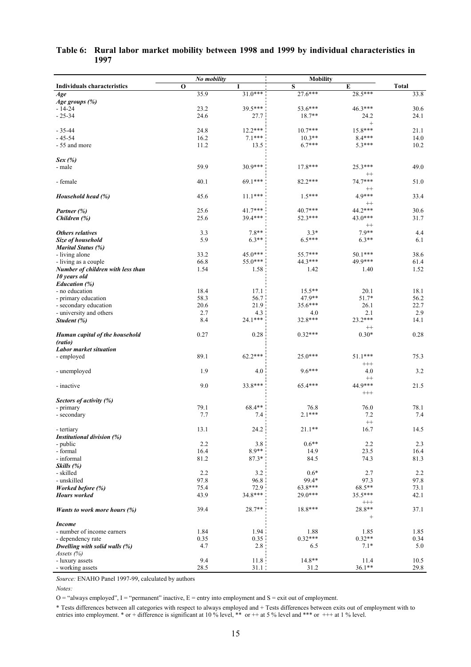| $\mathbf{o}$<br>${\bf S}$<br><b>Total</b><br>T<br>E<br><b>Individuals characteristics</b><br>$31.0***$<br>35.9<br>$27.6***$<br>28.5***<br>33.8<br>Age<br>Age groups (%)<br>23.2<br>39.5***<br>$-14-24$<br>53.6***<br>46.3***<br>30.6<br>24.1<br>$-25-34$<br>24.6<br>27.7<br>$18.7**$<br>24.2<br>$\qquad \qquad +$<br>$12.2***$<br>$15.8***$<br>$-35-44$<br>24.8<br>$10.7***$<br>21.1<br>16.2<br>$7.1***$<br>$10.3**$<br>$8.4***$<br>$-45-54$<br>14.0<br>- 55 and more<br>11.2<br>$6.7***$<br>$5.3***$<br>10.2<br>13.5<br>Sex(%)<br>59.9<br>30.9***<br>49.0<br>$17.8***$<br>25.3***<br>- male<br>$^{++}$<br>74.7***<br>40.1<br>69.1***<br>51.0<br>$82.2***$<br>- female<br>$^{++}$<br>4.9***<br>45.6<br>$11.1***$<br>$1.5***$<br>33.4<br>Household head (%)<br>$^{++}$<br>25.6<br>44.2 ***<br>$41.7***$<br>$40.7***$<br>30.6<br>Partner (%)<br>25.6<br>39.4***<br>43.0***<br>31.7<br>52.3***<br>Children (%)<br>$^{++}$<br>$7.8**$<br>$7.9**$<br>3.3<br>$3.3*$<br>4.4<br>Others relatives<br>5.9<br>$6.3**$<br>$6.5***$<br>$6.3**$<br>6.1<br>Size of household<br><b>Marital Status (%)</b><br>45.0***<br>33.2<br>$55.7***$<br>$50.1***$<br>38.6<br>- living alone<br>55.0***<br>44.3 ***<br>49.9***<br>66.8<br>61.4<br>- living as a couple<br>1.54<br>1.58<br>1.42<br>1.40<br>1.52<br>Number of children with less than<br>10 years old<br><b>Education</b> (%)<br>18.4<br>17.1<br>$15.5***$<br>18.1<br>20.1<br>- no education<br>58.3<br>56.7<br>47.9**<br>51.7*<br>56.2<br>- primary education<br>20.6<br>21.9<br>35.6***<br>26.1<br>22.7<br>- secondary education<br>2.7<br>2.9<br>4.3<br>2.1<br>- university and others<br>4.0<br>$24.1***$<br>$23.2***$<br>8.4<br>32.8***<br>14.1<br>Student (%)<br>$^{++}$<br>0.27<br>$0.32***$<br>$0.30*$<br>0.28<br>0.28<br>Human capital of the household<br>(ratio)<br><b>Labor market situation</b><br>89.1<br>62.2***<br>25.0***<br>$51.1***$<br>75.3<br>- employed<br>$^{+++}$<br>1.9<br>$9.6***$<br>3.2<br>4.0<br>4.0<br>- unemployed<br>$^{++}$<br>9.0<br>33.8***<br>44.9***<br>21.5<br>65.4***<br>- inactive<br>$^{+++}$<br>Sectors of activity (%)<br>79.1<br>68.4**<br>76.0<br>78.1<br>76.8<br>- primary<br>$2.1***$<br>7.7<br>7.4<br>7.2<br>7.4<br>- secondary<br>$^{++}$<br>16.7<br>13.1<br>24.2<br>$21.1**$<br>14.5<br>- tertiary<br>Institutional division (%)<br>2.2<br>$0.6**$<br>3.8<br>2.2<br>2.3<br>- public<br>$8.9**$<br>16.4<br>- formal<br>14.9<br>23.5<br>16.4<br>81.2<br>$87.3*$<br>81.3<br>84.5<br>74.3<br>- informal<br>Skills (%)<br>2.2<br>3.2<br>$0.6*$<br>2.7<br>2.2<br>- skilled<br>97.8<br>96.8<br>99.4*<br>97.8<br>- unskilled<br>97.3<br>63.8***<br>68.5**<br>Worked before (%)<br>75.4<br>72.9<br>73.1<br>$34.8***$<br>29.0***<br>35.5***<br>43.9<br>42.1<br><b>Hours</b> worked<br>$^{+++}$<br>28.7**<br>39.4<br>18.8***<br>28.8**<br>37.1<br><i>Wants to work more hours <math>(\%)</math></i><br>$\begin{array}{c} + \end{array}$<br><i>Income</i><br>- number of income earners<br>1.84<br>1.94<br>1.85<br>1.88<br>1.85<br>$0.32***$<br>0.35<br>0.35<br>$0.32**$<br>0.34<br>- dependency rate<br>Dwelling with solid walls (%)<br>4.7<br>2.8<br>$7.1*$<br>5.0<br>6.5<br>Assets $(%)$<br>11.8<br>9.4<br>14.8**<br>- luxury assets<br>11.4<br>10.5<br>28.5<br>31.1<br>31.2<br>$36.1**$<br>29.8<br>- working assets | No mobility | <b>Mobility</b> |  |
|---------------------------------------------------------------------------------------------------------------------------------------------------------------------------------------------------------------------------------------------------------------------------------------------------------------------------------------------------------------------------------------------------------------------------------------------------------------------------------------------------------------------------------------------------------------------------------------------------------------------------------------------------------------------------------------------------------------------------------------------------------------------------------------------------------------------------------------------------------------------------------------------------------------------------------------------------------------------------------------------------------------------------------------------------------------------------------------------------------------------------------------------------------------------------------------------------------------------------------------------------------------------------------------------------------------------------------------------------------------------------------------------------------------------------------------------------------------------------------------------------------------------------------------------------------------------------------------------------------------------------------------------------------------------------------------------------------------------------------------------------------------------------------------------------------------------------------------------------------------------------------------------------------------------------------------------------------------------------------------------------------------------------------------------------------------------------------------------------------------------------------------------------------------------------------------------------------------------------------------------------------------------------------------------------------------------------------------------------------------------------------------------------------------------------------------------------------------------------------------------------------------------------------------------------------------------------------------------------------------------------------------------------------------------------------------------------------------------------------------------------------------------------------------------------------------------------------------------------------------------------------------------------------------------------------------------------------------------------------------------------------------------------------------------------------------------------------------------------------------------------------------------------------------------------------------------------------------------------------------------------------------------------------------------------|-------------|-----------------|--|
|                                                                                                                                                                                                                                                                                                                                                                                                                                                                                                                                                                                                                                                                                                                                                                                                                                                                                                                                                                                                                                                                                                                                                                                                                                                                                                                                                                                                                                                                                                                                                                                                                                                                                                                                                                                                                                                                                                                                                                                                                                                                                                                                                                                                                                                                                                                                                                                                                                                                                                                                                                                                                                                                                                                                                                                                                                                                                                                                                                                                                                                                                                                                                                                                                                                                                                   |             |                 |  |
|                                                                                                                                                                                                                                                                                                                                                                                                                                                                                                                                                                                                                                                                                                                                                                                                                                                                                                                                                                                                                                                                                                                                                                                                                                                                                                                                                                                                                                                                                                                                                                                                                                                                                                                                                                                                                                                                                                                                                                                                                                                                                                                                                                                                                                                                                                                                                                                                                                                                                                                                                                                                                                                                                                                                                                                                                                                                                                                                                                                                                                                                                                                                                                                                                                                                                                   |             |                 |  |
|                                                                                                                                                                                                                                                                                                                                                                                                                                                                                                                                                                                                                                                                                                                                                                                                                                                                                                                                                                                                                                                                                                                                                                                                                                                                                                                                                                                                                                                                                                                                                                                                                                                                                                                                                                                                                                                                                                                                                                                                                                                                                                                                                                                                                                                                                                                                                                                                                                                                                                                                                                                                                                                                                                                                                                                                                                                                                                                                                                                                                                                                                                                                                                                                                                                                                                   |             |                 |  |
|                                                                                                                                                                                                                                                                                                                                                                                                                                                                                                                                                                                                                                                                                                                                                                                                                                                                                                                                                                                                                                                                                                                                                                                                                                                                                                                                                                                                                                                                                                                                                                                                                                                                                                                                                                                                                                                                                                                                                                                                                                                                                                                                                                                                                                                                                                                                                                                                                                                                                                                                                                                                                                                                                                                                                                                                                                                                                                                                                                                                                                                                                                                                                                                                                                                                                                   |             |                 |  |
|                                                                                                                                                                                                                                                                                                                                                                                                                                                                                                                                                                                                                                                                                                                                                                                                                                                                                                                                                                                                                                                                                                                                                                                                                                                                                                                                                                                                                                                                                                                                                                                                                                                                                                                                                                                                                                                                                                                                                                                                                                                                                                                                                                                                                                                                                                                                                                                                                                                                                                                                                                                                                                                                                                                                                                                                                                                                                                                                                                                                                                                                                                                                                                                                                                                                                                   |             |                 |  |
|                                                                                                                                                                                                                                                                                                                                                                                                                                                                                                                                                                                                                                                                                                                                                                                                                                                                                                                                                                                                                                                                                                                                                                                                                                                                                                                                                                                                                                                                                                                                                                                                                                                                                                                                                                                                                                                                                                                                                                                                                                                                                                                                                                                                                                                                                                                                                                                                                                                                                                                                                                                                                                                                                                                                                                                                                                                                                                                                                                                                                                                                                                                                                                                                                                                                                                   |             |                 |  |
|                                                                                                                                                                                                                                                                                                                                                                                                                                                                                                                                                                                                                                                                                                                                                                                                                                                                                                                                                                                                                                                                                                                                                                                                                                                                                                                                                                                                                                                                                                                                                                                                                                                                                                                                                                                                                                                                                                                                                                                                                                                                                                                                                                                                                                                                                                                                                                                                                                                                                                                                                                                                                                                                                                                                                                                                                                                                                                                                                                                                                                                                                                                                                                                                                                                                                                   |             |                 |  |
|                                                                                                                                                                                                                                                                                                                                                                                                                                                                                                                                                                                                                                                                                                                                                                                                                                                                                                                                                                                                                                                                                                                                                                                                                                                                                                                                                                                                                                                                                                                                                                                                                                                                                                                                                                                                                                                                                                                                                                                                                                                                                                                                                                                                                                                                                                                                                                                                                                                                                                                                                                                                                                                                                                                                                                                                                                                                                                                                                                                                                                                                                                                                                                                                                                                                                                   |             |                 |  |
|                                                                                                                                                                                                                                                                                                                                                                                                                                                                                                                                                                                                                                                                                                                                                                                                                                                                                                                                                                                                                                                                                                                                                                                                                                                                                                                                                                                                                                                                                                                                                                                                                                                                                                                                                                                                                                                                                                                                                                                                                                                                                                                                                                                                                                                                                                                                                                                                                                                                                                                                                                                                                                                                                                                                                                                                                                                                                                                                                                                                                                                                                                                                                                                                                                                                                                   |             |                 |  |
|                                                                                                                                                                                                                                                                                                                                                                                                                                                                                                                                                                                                                                                                                                                                                                                                                                                                                                                                                                                                                                                                                                                                                                                                                                                                                                                                                                                                                                                                                                                                                                                                                                                                                                                                                                                                                                                                                                                                                                                                                                                                                                                                                                                                                                                                                                                                                                                                                                                                                                                                                                                                                                                                                                                                                                                                                                                                                                                                                                                                                                                                                                                                                                                                                                                                                                   |             |                 |  |
|                                                                                                                                                                                                                                                                                                                                                                                                                                                                                                                                                                                                                                                                                                                                                                                                                                                                                                                                                                                                                                                                                                                                                                                                                                                                                                                                                                                                                                                                                                                                                                                                                                                                                                                                                                                                                                                                                                                                                                                                                                                                                                                                                                                                                                                                                                                                                                                                                                                                                                                                                                                                                                                                                                                                                                                                                                                                                                                                                                                                                                                                                                                                                                                                                                                                                                   |             |                 |  |
|                                                                                                                                                                                                                                                                                                                                                                                                                                                                                                                                                                                                                                                                                                                                                                                                                                                                                                                                                                                                                                                                                                                                                                                                                                                                                                                                                                                                                                                                                                                                                                                                                                                                                                                                                                                                                                                                                                                                                                                                                                                                                                                                                                                                                                                                                                                                                                                                                                                                                                                                                                                                                                                                                                                                                                                                                                                                                                                                                                                                                                                                                                                                                                                                                                                                                                   |             |                 |  |
|                                                                                                                                                                                                                                                                                                                                                                                                                                                                                                                                                                                                                                                                                                                                                                                                                                                                                                                                                                                                                                                                                                                                                                                                                                                                                                                                                                                                                                                                                                                                                                                                                                                                                                                                                                                                                                                                                                                                                                                                                                                                                                                                                                                                                                                                                                                                                                                                                                                                                                                                                                                                                                                                                                                                                                                                                                                                                                                                                                                                                                                                                                                                                                                                                                                                                                   |             |                 |  |
|                                                                                                                                                                                                                                                                                                                                                                                                                                                                                                                                                                                                                                                                                                                                                                                                                                                                                                                                                                                                                                                                                                                                                                                                                                                                                                                                                                                                                                                                                                                                                                                                                                                                                                                                                                                                                                                                                                                                                                                                                                                                                                                                                                                                                                                                                                                                                                                                                                                                                                                                                                                                                                                                                                                                                                                                                                                                                                                                                                                                                                                                                                                                                                                                                                                                                                   |             |                 |  |
|                                                                                                                                                                                                                                                                                                                                                                                                                                                                                                                                                                                                                                                                                                                                                                                                                                                                                                                                                                                                                                                                                                                                                                                                                                                                                                                                                                                                                                                                                                                                                                                                                                                                                                                                                                                                                                                                                                                                                                                                                                                                                                                                                                                                                                                                                                                                                                                                                                                                                                                                                                                                                                                                                                                                                                                                                                                                                                                                                                                                                                                                                                                                                                                                                                                                                                   |             |                 |  |
|                                                                                                                                                                                                                                                                                                                                                                                                                                                                                                                                                                                                                                                                                                                                                                                                                                                                                                                                                                                                                                                                                                                                                                                                                                                                                                                                                                                                                                                                                                                                                                                                                                                                                                                                                                                                                                                                                                                                                                                                                                                                                                                                                                                                                                                                                                                                                                                                                                                                                                                                                                                                                                                                                                                                                                                                                                                                                                                                                                                                                                                                                                                                                                                                                                                                                                   |             |                 |  |
|                                                                                                                                                                                                                                                                                                                                                                                                                                                                                                                                                                                                                                                                                                                                                                                                                                                                                                                                                                                                                                                                                                                                                                                                                                                                                                                                                                                                                                                                                                                                                                                                                                                                                                                                                                                                                                                                                                                                                                                                                                                                                                                                                                                                                                                                                                                                                                                                                                                                                                                                                                                                                                                                                                                                                                                                                                                                                                                                                                                                                                                                                                                                                                                                                                                                                                   |             |                 |  |
|                                                                                                                                                                                                                                                                                                                                                                                                                                                                                                                                                                                                                                                                                                                                                                                                                                                                                                                                                                                                                                                                                                                                                                                                                                                                                                                                                                                                                                                                                                                                                                                                                                                                                                                                                                                                                                                                                                                                                                                                                                                                                                                                                                                                                                                                                                                                                                                                                                                                                                                                                                                                                                                                                                                                                                                                                                                                                                                                                                                                                                                                                                                                                                                                                                                                                                   |             |                 |  |
|                                                                                                                                                                                                                                                                                                                                                                                                                                                                                                                                                                                                                                                                                                                                                                                                                                                                                                                                                                                                                                                                                                                                                                                                                                                                                                                                                                                                                                                                                                                                                                                                                                                                                                                                                                                                                                                                                                                                                                                                                                                                                                                                                                                                                                                                                                                                                                                                                                                                                                                                                                                                                                                                                                                                                                                                                                                                                                                                                                                                                                                                                                                                                                                                                                                                                                   |             |                 |  |
|                                                                                                                                                                                                                                                                                                                                                                                                                                                                                                                                                                                                                                                                                                                                                                                                                                                                                                                                                                                                                                                                                                                                                                                                                                                                                                                                                                                                                                                                                                                                                                                                                                                                                                                                                                                                                                                                                                                                                                                                                                                                                                                                                                                                                                                                                                                                                                                                                                                                                                                                                                                                                                                                                                                                                                                                                                                                                                                                                                                                                                                                                                                                                                                                                                                                                                   |             |                 |  |
|                                                                                                                                                                                                                                                                                                                                                                                                                                                                                                                                                                                                                                                                                                                                                                                                                                                                                                                                                                                                                                                                                                                                                                                                                                                                                                                                                                                                                                                                                                                                                                                                                                                                                                                                                                                                                                                                                                                                                                                                                                                                                                                                                                                                                                                                                                                                                                                                                                                                                                                                                                                                                                                                                                                                                                                                                                                                                                                                                                                                                                                                                                                                                                                                                                                                                                   |             |                 |  |
|                                                                                                                                                                                                                                                                                                                                                                                                                                                                                                                                                                                                                                                                                                                                                                                                                                                                                                                                                                                                                                                                                                                                                                                                                                                                                                                                                                                                                                                                                                                                                                                                                                                                                                                                                                                                                                                                                                                                                                                                                                                                                                                                                                                                                                                                                                                                                                                                                                                                                                                                                                                                                                                                                                                                                                                                                                                                                                                                                                                                                                                                                                                                                                                                                                                                                                   |             |                 |  |
|                                                                                                                                                                                                                                                                                                                                                                                                                                                                                                                                                                                                                                                                                                                                                                                                                                                                                                                                                                                                                                                                                                                                                                                                                                                                                                                                                                                                                                                                                                                                                                                                                                                                                                                                                                                                                                                                                                                                                                                                                                                                                                                                                                                                                                                                                                                                                                                                                                                                                                                                                                                                                                                                                                                                                                                                                                                                                                                                                                                                                                                                                                                                                                                                                                                                                                   |             |                 |  |
|                                                                                                                                                                                                                                                                                                                                                                                                                                                                                                                                                                                                                                                                                                                                                                                                                                                                                                                                                                                                                                                                                                                                                                                                                                                                                                                                                                                                                                                                                                                                                                                                                                                                                                                                                                                                                                                                                                                                                                                                                                                                                                                                                                                                                                                                                                                                                                                                                                                                                                                                                                                                                                                                                                                                                                                                                                                                                                                                                                                                                                                                                                                                                                                                                                                                                                   |             |                 |  |
|                                                                                                                                                                                                                                                                                                                                                                                                                                                                                                                                                                                                                                                                                                                                                                                                                                                                                                                                                                                                                                                                                                                                                                                                                                                                                                                                                                                                                                                                                                                                                                                                                                                                                                                                                                                                                                                                                                                                                                                                                                                                                                                                                                                                                                                                                                                                                                                                                                                                                                                                                                                                                                                                                                                                                                                                                                                                                                                                                                                                                                                                                                                                                                                                                                                                                                   |             |                 |  |
|                                                                                                                                                                                                                                                                                                                                                                                                                                                                                                                                                                                                                                                                                                                                                                                                                                                                                                                                                                                                                                                                                                                                                                                                                                                                                                                                                                                                                                                                                                                                                                                                                                                                                                                                                                                                                                                                                                                                                                                                                                                                                                                                                                                                                                                                                                                                                                                                                                                                                                                                                                                                                                                                                                                                                                                                                                                                                                                                                                                                                                                                                                                                                                                                                                                                                                   |             |                 |  |
|                                                                                                                                                                                                                                                                                                                                                                                                                                                                                                                                                                                                                                                                                                                                                                                                                                                                                                                                                                                                                                                                                                                                                                                                                                                                                                                                                                                                                                                                                                                                                                                                                                                                                                                                                                                                                                                                                                                                                                                                                                                                                                                                                                                                                                                                                                                                                                                                                                                                                                                                                                                                                                                                                                                                                                                                                                                                                                                                                                                                                                                                                                                                                                                                                                                                                                   |             |                 |  |
|                                                                                                                                                                                                                                                                                                                                                                                                                                                                                                                                                                                                                                                                                                                                                                                                                                                                                                                                                                                                                                                                                                                                                                                                                                                                                                                                                                                                                                                                                                                                                                                                                                                                                                                                                                                                                                                                                                                                                                                                                                                                                                                                                                                                                                                                                                                                                                                                                                                                                                                                                                                                                                                                                                                                                                                                                                                                                                                                                                                                                                                                                                                                                                                                                                                                                                   |             |                 |  |
|                                                                                                                                                                                                                                                                                                                                                                                                                                                                                                                                                                                                                                                                                                                                                                                                                                                                                                                                                                                                                                                                                                                                                                                                                                                                                                                                                                                                                                                                                                                                                                                                                                                                                                                                                                                                                                                                                                                                                                                                                                                                                                                                                                                                                                                                                                                                                                                                                                                                                                                                                                                                                                                                                                                                                                                                                                                                                                                                                                                                                                                                                                                                                                                                                                                                                                   |             |                 |  |
|                                                                                                                                                                                                                                                                                                                                                                                                                                                                                                                                                                                                                                                                                                                                                                                                                                                                                                                                                                                                                                                                                                                                                                                                                                                                                                                                                                                                                                                                                                                                                                                                                                                                                                                                                                                                                                                                                                                                                                                                                                                                                                                                                                                                                                                                                                                                                                                                                                                                                                                                                                                                                                                                                                                                                                                                                                                                                                                                                                                                                                                                                                                                                                                                                                                                                                   |             |                 |  |
|                                                                                                                                                                                                                                                                                                                                                                                                                                                                                                                                                                                                                                                                                                                                                                                                                                                                                                                                                                                                                                                                                                                                                                                                                                                                                                                                                                                                                                                                                                                                                                                                                                                                                                                                                                                                                                                                                                                                                                                                                                                                                                                                                                                                                                                                                                                                                                                                                                                                                                                                                                                                                                                                                                                                                                                                                                                                                                                                                                                                                                                                                                                                                                                                                                                                                                   |             |                 |  |
|                                                                                                                                                                                                                                                                                                                                                                                                                                                                                                                                                                                                                                                                                                                                                                                                                                                                                                                                                                                                                                                                                                                                                                                                                                                                                                                                                                                                                                                                                                                                                                                                                                                                                                                                                                                                                                                                                                                                                                                                                                                                                                                                                                                                                                                                                                                                                                                                                                                                                                                                                                                                                                                                                                                                                                                                                                                                                                                                                                                                                                                                                                                                                                                                                                                                                                   |             |                 |  |
|                                                                                                                                                                                                                                                                                                                                                                                                                                                                                                                                                                                                                                                                                                                                                                                                                                                                                                                                                                                                                                                                                                                                                                                                                                                                                                                                                                                                                                                                                                                                                                                                                                                                                                                                                                                                                                                                                                                                                                                                                                                                                                                                                                                                                                                                                                                                                                                                                                                                                                                                                                                                                                                                                                                                                                                                                                                                                                                                                                                                                                                                                                                                                                                                                                                                                                   |             |                 |  |
|                                                                                                                                                                                                                                                                                                                                                                                                                                                                                                                                                                                                                                                                                                                                                                                                                                                                                                                                                                                                                                                                                                                                                                                                                                                                                                                                                                                                                                                                                                                                                                                                                                                                                                                                                                                                                                                                                                                                                                                                                                                                                                                                                                                                                                                                                                                                                                                                                                                                                                                                                                                                                                                                                                                                                                                                                                                                                                                                                                                                                                                                                                                                                                                                                                                                                                   |             |                 |  |
|                                                                                                                                                                                                                                                                                                                                                                                                                                                                                                                                                                                                                                                                                                                                                                                                                                                                                                                                                                                                                                                                                                                                                                                                                                                                                                                                                                                                                                                                                                                                                                                                                                                                                                                                                                                                                                                                                                                                                                                                                                                                                                                                                                                                                                                                                                                                                                                                                                                                                                                                                                                                                                                                                                                                                                                                                                                                                                                                                                                                                                                                                                                                                                                                                                                                                                   |             |                 |  |
|                                                                                                                                                                                                                                                                                                                                                                                                                                                                                                                                                                                                                                                                                                                                                                                                                                                                                                                                                                                                                                                                                                                                                                                                                                                                                                                                                                                                                                                                                                                                                                                                                                                                                                                                                                                                                                                                                                                                                                                                                                                                                                                                                                                                                                                                                                                                                                                                                                                                                                                                                                                                                                                                                                                                                                                                                                                                                                                                                                                                                                                                                                                                                                                                                                                                                                   |             |                 |  |
|                                                                                                                                                                                                                                                                                                                                                                                                                                                                                                                                                                                                                                                                                                                                                                                                                                                                                                                                                                                                                                                                                                                                                                                                                                                                                                                                                                                                                                                                                                                                                                                                                                                                                                                                                                                                                                                                                                                                                                                                                                                                                                                                                                                                                                                                                                                                                                                                                                                                                                                                                                                                                                                                                                                                                                                                                                                                                                                                                                                                                                                                                                                                                                                                                                                                                                   |             |                 |  |
|                                                                                                                                                                                                                                                                                                                                                                                                                                                                                                                                                                                                                                                                                                                                                                                                                                                                                                                                                                                                                                                                                                                                                                                                                                                                                                                                                                                                                                                                                                                                                                                                                                                                                                                                                                                                                                                                                                                                                                                                                                                                                                                                                                                                                                                                                                                                                                                                                                                                                                                                                                                                                                                                                                                                                                                                                                                                                                                                                                                                                                                                                                                                                                                                                                                                                                   |             |                 |  |
|                                                                                                                                                                                                                                                                                                                                                                                                                                                                                                                                                                                                                                                                                                                                                                                                                                                                                                                                                                                                                                                                                                                                                                                                                                                                                                                                                                                                                                                                                                                                                                                                                                                                                                                                                                                                                                                                                                                                                                                                                                                                                                                                                                                                                                                                                                                                                                                                                                                                                                                                                                                                                                                                                                                                                                                                                                                                                                                                                                                                                                                                                                                                                                                                                                                                                                   |             |                 |  |
|                                                                                                                                                                                                                                                                                                                                                                                                                                                                                                                                                                                                                                                                                                                                                                                                                                                                                                                                                                                                                                                                                                                                                                                                                                                                                                                                                                                                                                                                                                                                                                                                                                                                                                                                                                                                                                                                                                                                                                                                                                                                                                                                                                                                                                                                                                                                                                                                                                                                                                                                                                                                                                                                                                                                                                                                                                                                                                                                                                                                                                                                                                                                                                                                                                                                                                   |             |                 |  |
|                                                                                                                                                                                                                                                                                                                                                                                                                                                                                                                                                                                                                                                                                                                                                                                                                                                                                                                                                                                                                                                                                                                                                                                                                                                                                                                                                                                                                                                                                                                                                                                                                                                                                                                                                                                                                                                                                                                                                                                                                                                                                                                                                                                                                                                                                                                                                                                                                                                                                                                                                                                                                                                                                                                                                                                                                                                                                                                                                                                                                                                                                                                                                                                                                                                                                                   |             |                 |  |
|                                                                                                                                                                                                                                                                                                                                                                                                                                                                                                                                                                                                                                                                                                                                                                                                                                                                                                                                                                                                                                                                                                                                                                                                                                                                                                                                                                                                                                                                                                                                                                                                                                                                                                                                                                                                                                                                                                                                                                                                                                                                                                                                                                                                                                                                                                                                                                                                                                                                                                                                                                                                                                                                                                                                                                                                                                                                                                                                                                                                                                                                                                                                                                                                                                                                                                   |             |                 |  |
|                                                                                                                                                                                                                                                                                                                                                                                                                                                                                                                                                                                                                                                                                                                                                                                                                                                                                                                                                                                                                                                                                                                                                                                                                                                                                                                                                                                                                                                                                                                                                                                                                                                                                                                                                                                                                                                                                                                                                                                                                                                                                                                                                                                                                                                                                                                                                                                                                                                                                                                                                                                                                                                                                                                                                                                                                                                                                                                                                                                                                                                                                                                                                                                                                                                                                                   |             |                 |  |
|                                                                                                                                                                                                                                                                                                                                                                                                                                                                                                                                                                                                                                                                                                                                                                                                                                                                                                                                                                                                                                                                                                                                                                                                                                                                                                                                                                                                                                                                                                                                                                                                                                                                                                                                                                                                                                                                                                                                                                                                                                                                                                                                                                                                                                                                                                                                                                                                                                                                                                                                                                                                                                                                                                                                                                                                                                                                                                                                                                                                                                                                                                                                                                                                                                                                                                   |             |                 |  |
|                                                                                                                                                                                                                                                                                                                                                                                                                                                                                                                                                                                                                                                                                                                                                                                                                                                                                                                                                                                                                                                                                                                                                                                                                                                                                                                                                                                                                                                                                                                                                                                                                                                                                                                                                                                                                                                                                                                                                                                                                                                                                                                                                                                                                                                                                                                                                                                                                                                                                                                                                                                                                                                                                                                                                                                                                                                                                                                                                                                                                                                                                                                                                                                                                                                                                                   |             |                 |  |
|                                                                                                                                                                                                                                                                                                                                                                                                                                                                                                                                                                                                                                                                                                                                                                                                                                                                                                                                                                                                                                                                                                                                                                                                                                                                                                                                                                                                                                                                                                                                                                                                                                                                                                                                                                                                                                                                                                                                                                                                                                                                                                                                                                                                                                                                                                                                                                                                                                                                                                                                                                                                                                                                                                                                                                                                                                                                                                                                                                                                                                                                                                                                                                                                                                                                                                   |             |                 |  |
|                                                                                                                                                                                                                                                                                                                                                                                                                                                                                                                                                                                                                                                                                                                                                                                                                                                                                                                                                                                                                                                                                                                                                                                                                                                                                                                                                                                                                                                                                                                                                                                                                                                                                                                                                                                                                                                                                                                                                                                                                                                                                                                                                                                                                                                                                                                                                                                                                                                                                                                                                                                                                                                                                                                                                                                                                                                                                                                                                                                                                                                                                                                                                                                                                                                                                                   |             |                 |  |
|                                                                                                                                                                                                                                                                                                                                                                                                                                                                                                                                                                                                                                                                                                                                                                                                                                                                                                                                                                                                                                                                                                                                                                                                                                                                                                                                                                                                                                                                                                                                                                                                                                                                                                                                                                                                                                                                                                                                                                                                                                                                                                                                                                                                                                                                                                                                                                                                                                                                                                                                                                                                                                                                                                                                                                                                                                                                                                                                                                                                                                                                                                                                                                                                                                                                                                   |             |                 |  |
|                                                                                                                                                                                                                                                                                                                                                                                                                                                                                                                                                                                                                                                                                                                                                                                                                                                                                                                                                                                                                                                                                                                                                                                                                                                                                                                                                                                                                                                                                                                                                                                                                                                                                                                                                                                                                                                                                                                                                                                                                                                                                                                                                                                                                                                                                                                                                                                                                                                                                                                                                                                                                                                                                                                                                                                                                                                                                                                                                                                                                                                                                                                                                                                                                                                                                                   |             |                 |  |
|                                                                                                                                                                                                                                                                                                                                                                                                                                                                                                                                                                                                                                                                                                                                                                                                                                                                                                                                                                                                                                                                                                                                                                                                                                                                                                                                                                                                                                                                                                                                                                                                                                                                                                                                                                                                                                                                                                                                                                                                                                                                                                                                                                                                                                                                                                                                                                                                                                                                                                                                                                                                                                                                                                                                                                                                                                                                                                                                                                                                                                                                                                                                                                                                                                                                                                   |             |                 |  |
|                                                                                                                                                                                                                                                                                                                                                                                                                                                                                                                                                                                                                                                                                                                                                                                                                                                                                                                                                                                                                                                                                                                                                                                                                                                                                                                                                                                                                                                                                                                                                                                                                                                                                                                                                                                                                                                                                                                                                                                                                                                                                                                                                                                                                                                                                                                                                                                                                                                                                                                                                                                                                                                                                                                                                                                                                                                                                                                                                                                                                                                                                                                                                                                                                                                                                                   |             |                 |  |
|                                                                                                                                                                                                                                                                                                                                                                                                                                                                                                                                                                                                                                                                                                                                                                                                                                                                                                                                                                                                                                                                                                                                                                                                                                                                                                                                                                                                                                                                                                                                                                                                                                                                                                                                                                                                                                                                                                                                                                                                                                                                                                                                                                                                                                                                                                                                                                                                                                                                                                                                                                                                                                                                                                                                                                                                                                                                                                                                                                                                                                                                                                                                                                                                                                                                                                   |             |                 |  |
|                                                                                                                                                                                                                                                                                                                                                                                                                                                                                                                                                                                                                                                                                                                                                                                                                                                                                                                                                                                                                                                                                                                                                                                                                                                                                                                                                                                                                                                                                                                                                                                                                                                                                                                                                                                                                                                                                                                                                                                                                                                                                                                                                                                                                                                                                                                                                                                                                                                                                                                                                                                                                                                                                                                                                                                                                                                                                                                                                                                                                                                                                                                                                                                                                                                                                                   |             |                 |  |
|                                                                                                                                                                                                                                                                                                                                                                                                                                                                                                                                                                                                                                                                                                                                                                                                                                                                                                                                                                                                                                                                                                                                                                                                                                                                                                                                                                                                                                                                                                                                                                                                                                                                                                                                                                                                                                                                                                                                                                                                                                                                                                                                                                                                                                                                                                                                                                                                                                                                                                                                                                                                                                                                                                                                                                                                                                                                                                                                                                                                                                                                                                                                                                                                                                                                                                   |             |                 |  |
|                                                                                                                                                                                                                                                                                                                                                                                                                                                                                                                                                                                                                                                                                                                                                                                                                                                                                                                                                                                                                                                                                                                                                                                                                                                                                                                                                                                                                                                                                                                                                                                                                                                                                                                                                                                                                                                                                                                                                                                                                                                                                                                                                                                                                                                                                                                                                                                                                                                                                                                                                                                                                                                                                                                                                                                                                                                                                                                                                                                                                                                                                                                                                                                                                                                                                                   |             |                 |  |
|                                                                                                                                                                                                                                                                                                                                                                                                                                                                                                                                                                                                                                                                                                                                                                                                                                                                                                                                                                                                                                                                                                                                                                                                                                                                                                                                                                                                                                                                                                                                                                                                                                                                                                                                                                                                                                                                                                                                                                                                                                                                                                                                                                                                                                                                                                                                                                                                                                                                                                                                                                                                                                                                                                                                                                                                                                                                                                                                                                                                                                                                                                                                                                                                                                                                                                   |             |                 |  |
|                                                                                                                                                                                                                                                                                                                                                                                                                                                                                                                                                                                                                                                                                                                                                                                                                                                                                                                                                                                                                                                                                                                                                                                                                                                                                                                                                                                                                                                                                                                                                                                                                                                                                                                                                                                                                                                                                                                                                                                                                                                                                                                                                                                                                                                                                                                                                                                                                                                                                                                                                                                                                                                                                                                                                                                                                                                                                                                                                                                                                                                                                                                                                                                                                                                                                                   |             |                 |  |
|                                                                                                                                                                                                                                                                                                                                                                                                                                                                                                                                                                                                                                                                                                                                                                                                                                                                                                                                                                                                                                                                                                                                                                                                                                                                                                                                                                                                                                                                                                                                                                                                                                                                                                                                                                                                                                                                                                                                                                                                                                                                                                                                                                                                                                                                                                                                                                                                                                                                                                                                                                                                                                                                                                                                                                                                                                                                                                                                                                                                                                                                                                                                                                                                                                                                                                   |             |                 |  |
|                                                                                                                                                                                                                                                                                                                                                                                                                                                                                                                                                                                                                                                                                                                                                                                                                                                                                                                                                                                                                                                                                                                                                                                                                                                                                                                                                                                                                                                                                                                                                                                                                                                                                                                                                                                                                                                                                                                                                                                                                                                                                                                                                                                                                                                                                                                                                                                                                                                                                                                                                                                                                                                                                                                                                                                                                                                                                                                                                                                                                                                                                                                                                                                                                                                                                                   |             |                 |  |
|                                                                                                                                                                                                                                                                                                                                                                                                                                                                                                                                                                                                                                                                                                                                                                                                                                                                                                                                                                                                                                                                                                                                                                                                                                                                                                                                                                                                                                                                                                                                                                                                                                                                                                                                                                                                                                                                                                                                                                                                                                                                                                                                                                                                                                                                                                                                                                                                                                                                                                                                                                                                                                                                                                                                                                                                                                                                                                                                                                                                                                                                                                                                                                                                                                                                                                   |             |                 |  |
|                                                                                                                                                                                                                                                                                                                                                                                                                                                                                                                                                                                                                                                                                                                                                                                                                                                                                                                                                                                                                                                                                                                                                                                                                                                                                                                                                                                                                                                                                                                                                                                                                                                                                                                                                                                                                                                                                                                                                                                                                                                                                                                                                                                                                                                                                                                                                                                                                                                                                                                                                                                                                                                                                                                                                                                                                                                                                                                                                                                                                                                                                                                                                                                                                                                                                                   |             |                 |  |
|                                                                                                                                                                                                                                                                                                                                                                                                                                                                                                                                                                                                                                                                                                                                                                                                                                                                                                                                                                                                                                                                                                                                                                                                                                                                                                                                                                                                                                                                                                                                                                                                                                                                                                                                                                                                                                                                                                                                                                                                                                                                                                                                                                                                                                                                                                                                                                                                                                                                                                                                                                                                                                                                                                                                                                                                                                                                                                                                                                                                                                                                                                                                                                                                                                                                                                   |             |                 |  |
|                                                                                                                                                                                                                                                                                                                                                                                                                                                                                                                                                                                                                                                                                                                                                                                                                                                                                                                                                                                                                                                                                                                                                                                                                                                                                                                                                                                                                                                                                                                                                                                                                                                                                                                                                                                                                                                                                                                                                                                                                                                                                                                                                                                                                                                                                                                                                                                                                                                                                                                                                                                                                                                                                                                                                                                                                                                                                                                                                                                                                                                                                                                                                                                                                                                                                                   |             |                 |  |
|                                                                                                                                                                                                                                                                                                                                                                                                                                                                                                                                                                                                                                                                                                                                                                                                                                                                                                                                                                                                                                                                                                                                                                                                                                                                                                                                                                                                                                                                                                                                                                                                                                                                                                                                                                                                                                                                                                                                                                                                                                                                                                                                                                                                                                                                                                                                                                                                                                                                                                                                                                                                                                                                                                                                                                                                                                                                                                                                                                                                                                                                                                                                                                                                                                                                                                   |             |                 |  |
|                                                                                                                                                                                                                                                                                                                                                                                                                                                                                                                                                                                                                                                                                                                                                                                                                                                                                                                                                                                                                                                                                                                                                                                                                                                                                                                                                                                                                                                                                                                                                                                                                                                                                                                                                                                                                                                                                                                                                                                                                                                                                                                                                                                                                                                                                                                                                                                                                                                                                                                                                                                                                                                                                                                                                                                                                                                                                                                                                                                                                                                                                                                                                                                                                                                                                                   |             |                 |  |
|                                                                                                                                                                                                                                                                                                                                                                                                                                                                                                                                                                                                                                                                                                                                                                                                                                                                                                                                                                                                                                                                                                                                                                                                                                                                                                                                                                                                                                                                                                                                                                                                                                                                                                                                                                                                                                                                                                                                                                                                                                                                                                                                                                                                                                                                                                                                                                                                                                                                                                                                                                                                                                                                                                                                                                                                                                                                                                                                                                                                                                                                                                                                                                                                                                                                                                   |             |                 |  |
|                                                                                                                                                                                                                                                                                                                                                                                                                                                                                                                                                                                                                                                                                                                                                                                                                                                                                                                                                                                                                                                                                                                                                                                                                                                                                                                                                                                                                                                                                                                                                                                                                                                                                                                                                                                                                                                                                                                                                                                                                                                                                                                                                                                                                                                                                                                                                                                                                                                                                                                                                                                                                                                                                                                                                                                                                                                                                                                                                                                                                                                                                                                                                                                                                                                                                                   |             |                 |  |
|                                                                                                                                                                                                                                                                                                                                                                                                                                                                                                                                                                                                                                                                                                                                                                                                                                                                                                                                                                                                                                                                                                                                                                                                                                                                                                                                                                                                                                                                                                                                                                                                                                                                                                                                                                                                                                                                                                                                                                                                                                                                                                                                                                                                                                                                                                                                                                                                                                                                                                                                                                                                                                                                                                                                                                                                                                                                                                                                                                                                                                                                                                                                                                                                                                                                                                   |             |                 |  |

### **Table 6: Rural labor market mobility between 1998 and 1999 by individual characteristics in 1997**

*Source:* ENAHO Panel 1997-99, calculated by authors

*Notes:* 

 $O = "always employed", I = "permann" inactive, E = entry into employment and S = exit out of employment.$ 

\* Tests differences between all categories with respect to always employed and + Tests differences between exits out of employment with to entries into employment. \* or + difference is significant at 10 % level, \*\* or ++ at 5 % level and \*\*\* or +++ at 1 % level.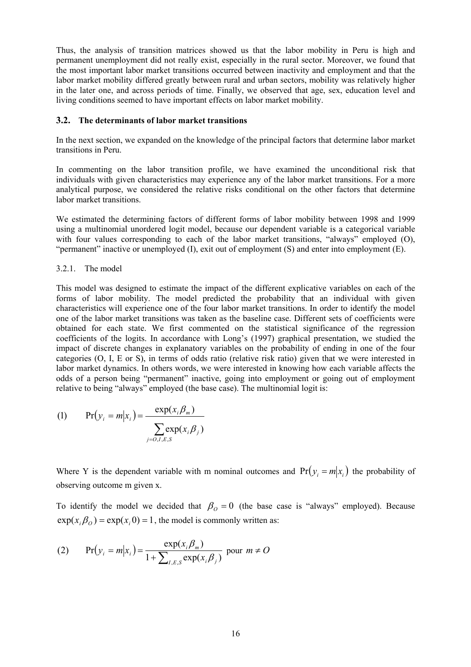Thus, the analysis of transition matrices showed us that the labor mobility in Peru is high and permanent unemployment did not really exist, especially in the rural sector. Moreover, we found that the most important labor market transitions occurred between inactivity and employment and that the labor market mobility differed greatly between rural and urban sectors, mobility was relatively higher in the later one, and across periods of time. Finally, we observed that age, sex, education level and living conditions seemed to have important effects on labor market mobility.

#### **3.2. The determinants of labor market transitions**

In the next section, we expanded on the knowledge of the principal factors that determine labor market transitions in Peru.

In commenting on the labor transition profile, we have examined the unconditional risk that individuals with given characteristics may experience any of the labor market transitions. For a more analytical purpose, we considered the relative risks conditional on the other factors that determine labor market transitions.

We estimated the determining factors of different forms of labor mobility between 1998 and 1999 using a multinomial unordered logit model, because our dependent variable is a categorical variable with four values corresponding to each of the labor market transitions, "always" employed (O), "permanent" inactive or unemployed (I), exit out of employment (S) and enter into employment (E).

#### 3.2.1. The model

This model was designed to estimate the impact of the different explicative variables on each of the forms of labor mobility. The model predicted the probability that an individual with given characteristics will experience one of the four labor market transitions. In order to identify the model one of the labor market transitions was taken as the baseline case. Different sets of coefficients were obtained for each state. We first commented on the statistical significance of the regression coefficients of the logits. In accordance with Long's (1997) graphical presentation, we studied the impact of discrete changes in explanatory variables on the probability of ending in one of the four categories (O, I, E or S), in terms of odds ratio (relative risk ratio) given that we were interested in labor market dynamics. In others words, we were interested in knowing how each variable affects the odds of a person being "permanent" inactive, going into employment or going out of employment relative to being "always" employed (the base case). The multinomial logit is:

(1) 
$$
\Pr(y_i = m | x_i) = \frac{\exp(x_i \beta_m)}{\sum_{j=0, I, E, S} \exp(x_i \beta_j)}
$$

Where Y is the dependent variable with m nominal outcomes and  $Pr(y_i = m | x_i)$  the probability of observing outcome m given x.

To identify the model we decided that  $\beta_0 = 0$  (the base case is "always" employed). Because  $exp(x_i\beta_0) = exp(x_i 0) = 1$ , the model is commonly written as:

(2) 
$$
Pr(y_i = m | x_i) = \frac{exp(x_i \beta_m)}{1 + \sum_{I, E, S} exp(x_i \beta_j)} \text{ pour } m \neq O
$$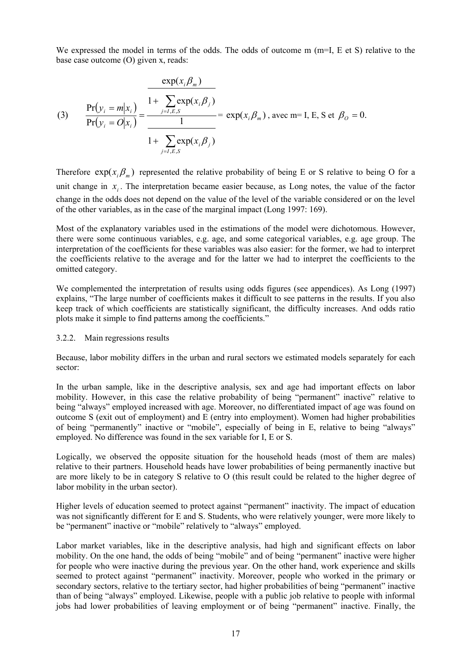We expressed the model in terms of the odds. The odds of outcome  $m$  ( $m=I$ ,  $E$  et S) relative to the base case outcome (O) given x, reads:

(3) 
$$
\frac{\Pr(y_i = m | x_i)}{\Pr(y_i = O | x_i)} = \frac{1 + \sum_{j=I,E,S} \exp(x_i, \beta_j)}{1 + \sum_{j=I,E,S} \exp(x_i, \beta_j)} = \exp(x_i, \beta_m), \text{ avec } m = I, E, S \text{ et } \beta_O = 0.
$$

Therefore  $exp(x_i \beta_m)$  represented the relative probability of being E or S relative to being O for a unit change in  $x_i$ . The interpretation became easier because, as Long notes, the value of the factor change in the odds does not depend on the value of the level of the variable considered or on the level of the other variables, as in the case of the marginal impact (Long 1997: 169).

Most of the explanatory variables used in the estimations of the model were dichotomous. However, there were some continuous variables, e.g. age, and some categorical variables, e.g. age group. The interpretation of the coefficients for these variables was also easier: for the former, we had to interpret the coefficients relative to the average and for the latter we had to interpret the coefficients to the omitted category.

We complemented the interpretation of results using odds figures (see appendices). As Long (1997) explains, "The large number of coefficients makes it difficult to see patterns in the results. If you also keep track of which coefficients are statistically significant, the difficulty increases. And odds ratio plots make it simple to find patterns among the coefficients."

#### 3.2.2. Main regressions results

Because, labor mobility differs in the urban and rural sectors we estimated models separately for each sector:

In the urban sample, like in the descriptive analysis, sex and age had important effects on labor mobility. However, in this case the relative probability of being "permanent" inactive" relative to being "always" employed increased with age. Moreover, no differentiated impact of age was found on outcome S (exit out of employment) and E (entry into employment). Women had higher probabilities of being "permanently" inactive or "mobile", especially of being in E, relative to being "always" employed. No difference was found in the sex variable for I, E or S.

Logically, we observed the opposite situation for the household heads (most of them are males) relative to their partners. Household heads have lower probabilities of being permanently inactive but are more likely to be in category S relative to O (this result could be related to the higher degree of labor mobility in the urban sector).

Higher levels of education seemed to protect against "permanent" inactivity. The impact of education was not significantly different for E and S. Students, who were relatively younger, were more likely to be "permanent" inactive or "mobile" relatively to "always" employed.

Labor market variables, like in the descriptive analysis, had high and significant effects on labor mobility. On the one hand, the odds of being "mobile" and of being "permanent" inactive were higher for people who were inactive during the previous year. On the other hand, work experience and skills seemed to protect against "permanent" inactivity. Moreover, people who worked in the primary or secondary sectors, relative to the tertiary sector, had higher probabilities of being "permanent" inactive than of being "always" employed. Likewise, people with a public job relative to people with informal jobs had lower probabilities of leaving employment or of being "permanent" inactive. Finally, the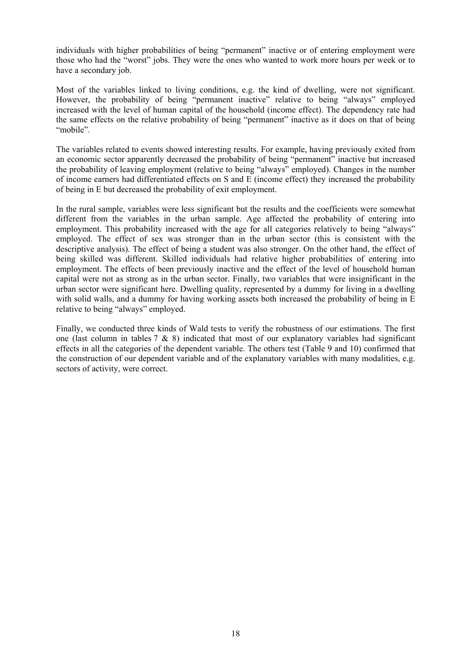individuals with higher probabilities of being "permanent" inactive or of entering employment were those who had the "worst" jobs. They were the ones who wanted to work more hours per week or to have a secondary job.

Most of the variables linked to living conditions, e.g. the kind of dwelling, were not significant. However, the probability of being "permanent inactive" relative to being "always" employed increased with the level of human capital of the household (income effect). The dependency rate had the same effects on the relative probability of being "permanent" inactive as it does on that of being "mobile".

The variables related to events showed interesting results. For example, having previously exited from an economic sector apparently decreased the probability of being "permanent" inactive but increased the probability of leaving employment (relative to being "always" employed). Changes in the number of income earners had differentiated effects on S and E (income effect) they increased the probability of being in E but decreased the probability of exit employment.

In the rural sample, variables were less significant but the results and the coefficients were somewhat different from the variables in the urban sample. Age affected the probability of entering into employment. This probability increased with the age for all categories relatively to being "always" employed. The effect of sex was stronger than in the urban sector (this is consistent with the descriptive analysis). The effect of being a student was also stronger. On the other hand, the effect of being skilled was different. Skilled individuals had relative higher probabilities of entering into employment. The effects of been previously inactive and the effect of the level of household human capital were not as strong as in the urban sector. Finally, two variables that were insignificant in the urban sector were significant here. Dwelling quality, represented by a dummy for living in a dwelling with solid walls, and a dummy for having working assets both increased the probability of being in E relative to being "always" employed.

Finally, we conducted three kinds of Wald tests to verify the robustness of our estimations. The first one (last column in tables  $7 \& 8$ ) indicated that most of our explanatory variables had significant effects in all the categories of the dependent variable. The others test (Table 9 and 10) confirmed that the construction of our dependent variable and of the explanatory variables with many modalities, e.g. sectors of activity, were correct.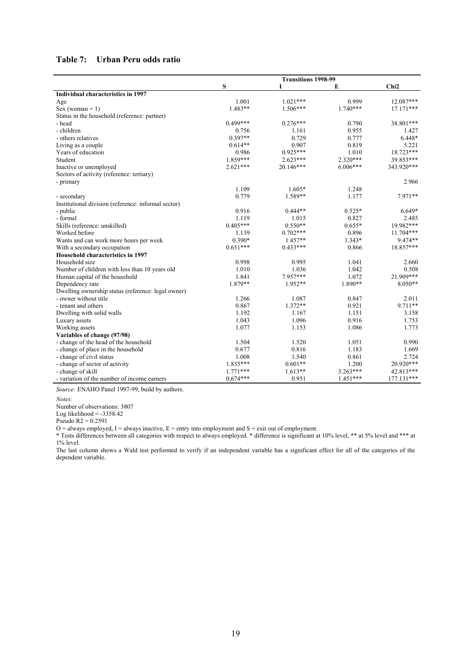#### **Table 7: Urban Peru odds ratio**

|                                                     | <b>Transitions 1998-99</b> |            |            |                  |
|-----------------------------------------------------|----------------------------|------------|------------|------------------|
|                                                     | S                          |            | E          | Chi <sub>2</sub> |
| Individual characteristics in 1997                  |                            |            |            |                  |
| Age                                                 | 1.001                      | $1.021***$ | 0.999      | 12.087***        |
| Sex (woman = $1$ )                                  | $1.483**$                  | $1.506***$ | $1.740***$ | $17.171***$      |
| Status in the household (reference: partner)        |                            |            |            |                  |
| - head                                              | $0.499***$                 | $0.276***$ | 0.790      | 38.801***        |
| - children                                          | 0.756                      | 1.161      | 0.955      | 1.427            |
| - others relatives                                  | $0.397**$                  | 0.729      | 0.777      | $6.448*$         |
| Living as a couple                                  | $0.614**$                  | 0.907      | 0.819      | 5.221            |
| Years of education                                  | 0.986                      | $0.925***$ | 1.010      | 18.723***        |
| Student                                             | 1.859***                   | $2.623***$ | 2.320***   | 39.853***        |
| Inactive or unemployed                              | $2.621***$                 | 20.146***  | $6.006***$ | 343.920***       |
| Sectors of activity (reference: tertiary)           |                            |            |            |                  |
| - primary                                           |                            |            |            | 2.966            |
|                                                     | 1.109                      | $1.605*$   | 1.248      |                  |
| - secondary                                         | 0.779                      | 1.589**    | 1.177      | $7.971**$        |
| Institutional division (reference: informal sector) |                            |            |            |                  |
| - public                                            | 0.916                      | $0.444**$  | $0.525*$   | $6.649*$         |
| - formal                                            | 1.119                      | 1.015      | 0.827      | 2.485            |
| Skills (reference: unskilled)                       | $0.405***$                 | $0.550**$  | $0.655*$   | 19.982***        |
| Worked before                                       | 1.139                      | $0.702***$ | 0.896      | $11.704***$      |
| Wants and can work more hours per week              | $0.390*$                   | $1.457**$  | $1.343*$   | 9.474**          |
| With a secondary occupation                         | $0.651***$                 | $0.433***$ | 0.866      | 18.857***        |
| Household characteristics in 1997                   |                            |            |            |                  |
| Household size                                      | 0.998                      | 0.995      | 1.041      | 2.660            |
| Number of children with less than 10 years old      | 1.010                      | 1.036      | 1.042      | 0.508            |
| Human capital of the household                      | 1.841                      | 7.957***   | 1.072      | 21.909***        |
| Dependency rate                                     | 1.879**                    | $1.952**$  | 1.890**    | $8.050**$        |
| Dwelling ownership status (reference: legal owner)  |                            |            |            |                  |
| - owner without title                               | 1.266                      | 1.087      | 0.847      | 2.011            |
| - tenant and others                                 | 0.867                      | $1.372**$  | 0.921      | 9.711**          |
| Dwelling with solid walls                           | 1.192                      | 1.167      | 1.151      | 3.158            |
| Luxury assets                                       | 1.043                      | 1.096      | 0.916      | 1.753            |
| Working assets                                      | 1.077                      | 1.153      | 1.086      | 1.773            |
| Variables of change (97/98)                         |                            |            |            |                  |
| - change of the head of the household               | 1.504                      | 1.520      | 1.051      | 0.990            |
| - change of place in the household                  | 0.677                      | 0.816      | 1.183      | 1.669            |
| - change of civil status                            | 1.008                      | 1.540      | 0.861      | 2.724            |
| - change of sector of activity                      | 1.835***                   | $0.601**$  | 1.200      | 20.920***        |
| - change of skill                                   | $1.771***$                 | $1.613**$  | $3.263***$ | 42.813***        |
| - variation of the number of income earners         | $0.674***$                 | 0.951      | $1.451***$ | 177.131***       |

*Source:* ENAHO Panel 1997-99, build by authors.

Number of observations: 3807

Log likelihood  $= -3358.42$ 

Pseudo  $R2 = 0.2591$ 

 $O =$  always employed, I = always inactive, E = entry into employment and S = exit out of employment.

\* Tests differences between all categories with respect to always employed. \* difference is significant at 10% level, \*\* at 5% level and \*\*\* at 1% level.

The last column shows a Wald test performed to verify if an independent variable has a significant effect for all of the categories of the dependent variable.

*Notes:*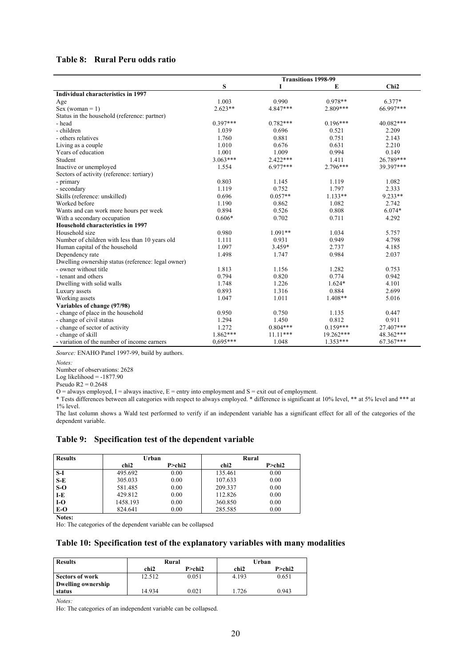#### **Table 8: Rural Peru odds ratio**

|                                                    | <b>Transitions 1998-99</b> |            |            |                  |
|----------------------------------------------------|----------------------------|------------|------------|------------------|
|                                                    | S                          |            | E          | Chi <sub>2</sub> |
| <b>Individual characteristics in 1997</b>          |                            |            |            |                  |
| Age                                                | 1.003                      | 0.990      | $0.978**$  | $6.377*$         |
| $Sex (woman = 1)$                                  | $2.623**$                  | 4.847***   | 2.809***   | 66.997***        |
| Status in the household (reference: partner)       |                            |            |            |                  |
| - head                                             | $0.397***$                 | $0.782***$ | $0.196***$ | 40.082***        |
| - children                                         | 1.039                      | 0.696      | 0.521      | 2.209            |
| - others relatives                                 | 1.760                      | 0.881      | 0.751      | 2.143            |
| Living as a couple                                 | 1.010                      | 0.676      | 0.631      | 2.210            |
| Years of education                                 | 1.001                      | 1.009      | 0.994      | 0.149            |
| Student                                            | $3.063***$                 | $2.422***$ | 1.411      | 26.789***        |
| Inactive or unemployed                             | 1.554                      | $6.977***$ | $2.796***$ | 39.397***        |
| Sectors of activity (reference: tertiary)          |                            |            |            |                  |
| - primary                                          | 0.803                      | 1.145      | 1.119      | 1.082            |
| - secondary                                        | 1.119                      | 0.752      | 1.797      | 2.333            |
| Skills (reference: unskilled)                      | 0.696                      | $0.057**$  | $1.133**$  | $9.233**$        |
| Worked before                                      | 1.190                      | 0.862      | 1.082      | 2.742            |
| Wants and can work more hours per week             | 0.894                      | 0.526      | 0.808      | $6.074*$         |
| With a secondary occupation                        | $0.606*$                   | 0.702      | 0.711      | 4.292            |
| Household characteristics in 1997                  |                            |            |            |                  |
| Household size                                     | 0.980                      | $1.091**$  | 1.034      | 5.757            |
| Number of children with less than 10 years old     | 1.111                      | 0.931      | 0.949      | 4.798            |
| Human capital of the household                     | 1.097                      | 3.459*     | 2.737      | 4.185            |
| Dependency rate                                    | 1.498                      | 1.747      | 0.984      | 2.037            |
| Dwelling ownership status (reference: legal owner) |                            |            |            |                  |
| - owner without title                              | 1.813                      | 1.156      | 1.282      | 0.753            |
| - tenant and others                                | 0.794                      | 0.820      | 0.774      | 0.942            |
| Dwelling with solid walls                          | 1.748                      | 1.226      | $1.624*$   | 4.101            |
| Luxury assets                                      | 0.893                      | 1.316      | 0.884      | 2.699            |
| Working assets                                     | 1.047                      | 1.011      | $1.408**$  | 5.016            |
| Variables of change (97/98)                        |                            |            |            |                  |
| - change of place in the household                 | 0.950                      | 0.750      | 1.135      | 0.447            |
| - change of civil status                           | 1.294                      | 1.450      | 0.812      | 0.911            |
| - change of sector of activity                     | 1.272                      | $0.804***$ | $0.159***$ | 27.407***        |
| - change of skill                                  | 1.862***                   | $11.11***$ | 19.262***  | 48.362***        |
| - variation of the number of income earners        | $0.695***$                 | 1.048      | $1.353***$ | 67.367***        |

*Source:* ENAHO Panel 1997-99, build by authors.

Number of observations: 2628

Log likelihood  $= -1877.90$ 

 $O =$  always employed, I = always inactive, E = entry into employment and S = exit out of employment.

\* Tests differences between all categories with respect to always employed. \* difference is significant at 10% level, \*\* at 5% level and \*\*\* at 1% level.

The last column shows a Wald test performed to verify if an independent variable has a significant effect for all of the categories of the dependent variable.

#### **Table 9: Specification test of the dependent variable**

| <b>Results</b> | Urban    |               | Rural   |               |
|----------------|----------|---------------|---------|---------------|
|                | chi2     | $P >$ chi $2$ | chi2    | $P >$ chi $2$ |
| S-I            | 495.692  | 0.00          | 135.461 | 0.00          |
| $S-E$          | 305.033  | 0.00          | 107.633 | 0.00          |
| $S-O$          | 581.485  | 0.00          | 209.337 | 0.00          |
| I-E            | 429.812  | 0.00          | 112.826 | 0.00          |
| $I-O$          | 1458.193 | 0.00          | 360.850 | 0.00          |
| $E-O$          | 824.641  | 0.00          | 285.585 | 0.00          |

**Notes:** 

Ho: The categories of the dependent variable can be collapsed

#### **Table 10: Specification test of the explanatory variables with many modalities**

| <b>Results</b>     | Rural  |        | Urban |        |
|--------------------|--------|--------|-------|--------|
|                    | chi2   | P>chi2 | chi2  | P>chi2 |
| Sectors of work    | 12.512 | 0.051  | 4.193 | 0.651  |
| Dwelling ownership |        |        |       |        |
| status             | 14.934 | 0.021  | .726  | 0.943  |

*Notes:* 

Ho: The categories of an independent variable can be collapsed.

*Notes:* 

Pseudo  $R2 = 0.2648$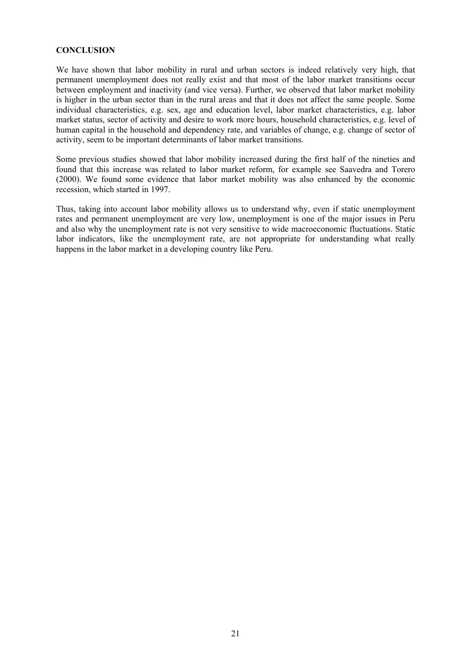#### **CONCLUSION**

We have shown that labor mobility in rural and urban sectors is indeed relatively very high, that permanent unemployment does not really exist and that most of the labor market transitions occur between employment and inactivity (and vice versa). Further, we observed that labor market mobility is higher in the urban sector than in the rural areas and that it does not affect the same people. Some individual characteristics, e.g. sex, age and education level, labor market characteristics, e.g. labor market status, sector of activity and desire to work more hours, household characteristics, e.g. level of human capital in the household and dependency rate, and variables of change, e.g. change of sector of activity, seem to be important determinants of labor market transitions.

Some previous studies showed that labor mobility increased during the first half of the nineties and found that this increase was related to labor market reform, for example see Saavedra and Torero (2000). We found some evidence that labor market mobility was also enhanced by the economic recession, which started in 1997.

Thus, taking into account labor mobility allows us to understand why, even if static unemployment rates and permanent unemployment are very low, unemployment is one of the major issues in Peru and also why the unemployment rate is not very sensitive to wide macroeconomic fluctuations. Static labor indicators, like the unemployment rate, are not appropriate for understanding what really happens in the labor market in a developing country like Peru.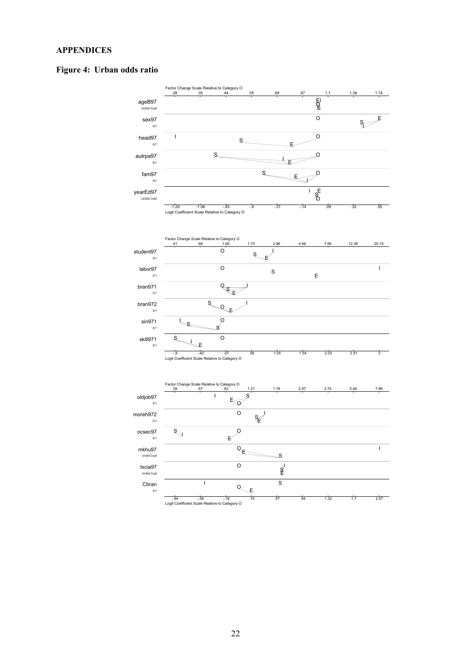#### **APPENDICES**

#### **Figure 4: Urban odds ratio**

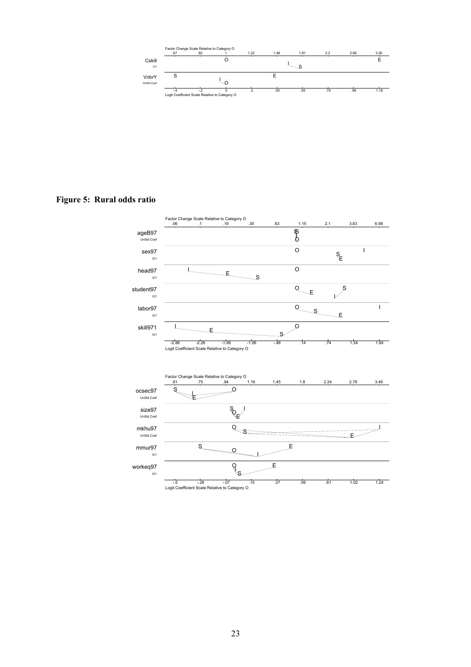

**Figure 5: Rural odds ratio** 

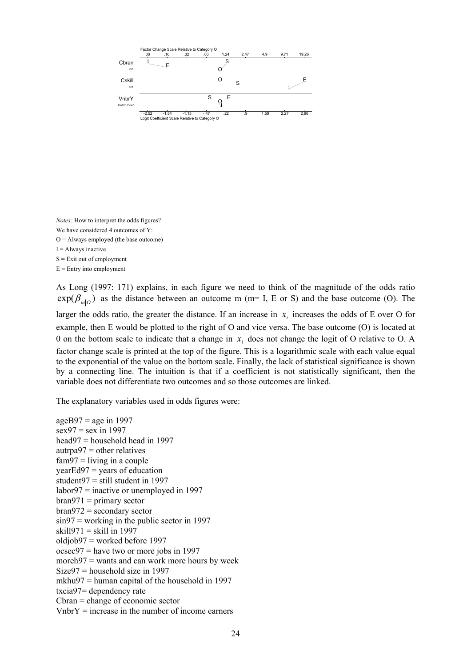

*Notes:* How to interpret the odds figures? We have considered 4 outcomes of Y:  $O =$  Always employed (the base outcome)  $I =$  Always inactive S = Exit out of employment  $E =$  Entry into employment

As Long (1997: 171) explains, in each figure we need to think of the magnitude of the odds ratio  $exp(\beta_{m}$ <sub>*O*</sub> as the distance between an outcome m (m= I, E or S) and the base outcome (O). The larger the odds ratio, the greater the distance. If an increase in  $x_i$  increases the odds of E over O for example, then E would be plotted to the right of O and vice versa. The base outcome (O) is located at 0 on the bottom scale to indicate that a change in  $x_i$  does not change the logit of O relative to O. A factor change scale is printed at the top of the figure. This is a logarithmic scale with each value equal to the exponential of the value on the bottom scale. Finally, the lack of statistical significance is shown by a connecting line. The intuition is that if a coefficient is not statistically significant, then the variable does not differentiate two outcomes and so those outcomes are linked.

The explanatory variables used in odds figures were:

 $ageB97 = age in 1997$  $sex97 = sex in 1997$ head97 = household head in 1997  $\text{autrpa97} = \text{other relatives}$  $fam97 = living in a couple$  $yearEd97 = years of education$ student $97$  = still student in 1997 labor97 = inactive or unemployed in 1997  $bran971 = primary sector$  $bran972$  = secondary sector sin97 = working in the public sector in 1997 skill971 = skill in 1997 oldjob97 = worked before 1997 ocsec97 = have two or more jobs in 1997 moreh $97$  = wants and can work more hours by week Size97 = household size in 1997 mkhu97 = human capital of the household in 1997 txcia97= dependency rate Cbran = change of economic sector  $V<sub>1</sub>$  where  $V =$  increase in the number of income earners